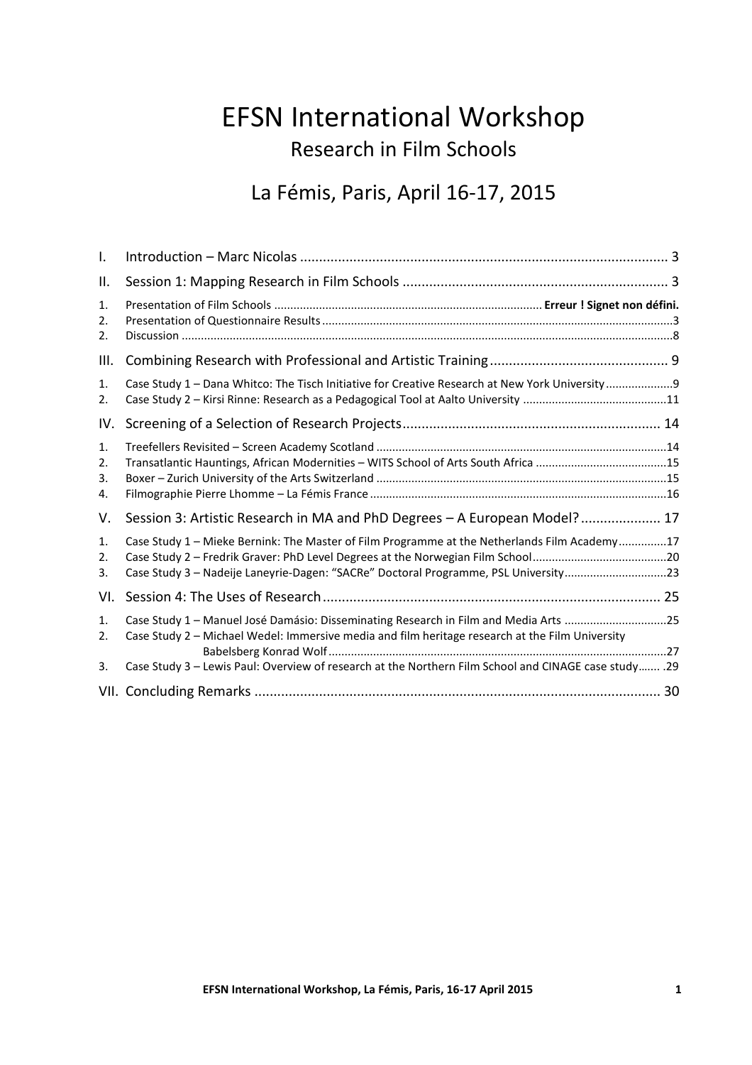# EFSN International Workshop Research in Film Schools

## La Fémis, Paris, April 16-17, 2015

| I.                   |                                                                                                                                                                                                                                                                                                    |  |
|----------------------|----------------------------------------------------------------------------------------------------------------------------------------------------------------------------------------------------------------------------------------------------------------------------------------------------|--|
| ΙΙ.                  |                                                                                                                                                                                                                                                                                                    |  |
| 1.<br>2.<br>2.       |                                                                                                                                                                                                                                                                                                    |  |
| III.                 |                                                                                                                                                                                                                                                                                                    |  |
| 1.<br>2.             | Case Study 1 - Dana Whitco: The Tisch Initiative for Creative Research at New York University 9                                                                                                                                                                                                    |  |
| IV.                  |                                                                                                                                                                                                                                                                                                    |  |
| 1.<br>2.<br>3.<br>4. | Transatlantic Hauntings, African Modernities - WITS School of Arts South Africa 15                                                                                                                                                                                                                 |  |
| V.                   | Session 3: Artistic Research in MA and PhD Degrees - A European Model? 17                                                                                                                                                                                                                          |  |
| 1.<br>2.<br>3.       | Case Study 1 - Mieke Bernink: The Master of Film Programme at the Netherlands Film Academy17<br>Case Study 3 - Nadeije Laneyrie-Dagen: "SACRe" Doctoral Programme, PSL University23                                                                                                                |  |
| VI.                  |                                                                                                                                                                                                                                                                                                    |  |
| 1.<br>2.<br>3.       | Case Study 1 - Manuel José Damásio: Disseminating Research in Film and Media Arts 25<br>Case Study 2 - Michael Wedel: Immersive media and film heritage research at the Film University<br>Case Study 3 - Lewis Paul: Overview of research at the Northern Film School and CINAGE case study  . 29 |  |
|                      |                                                                                                                                                                                                                                                                                                    |  |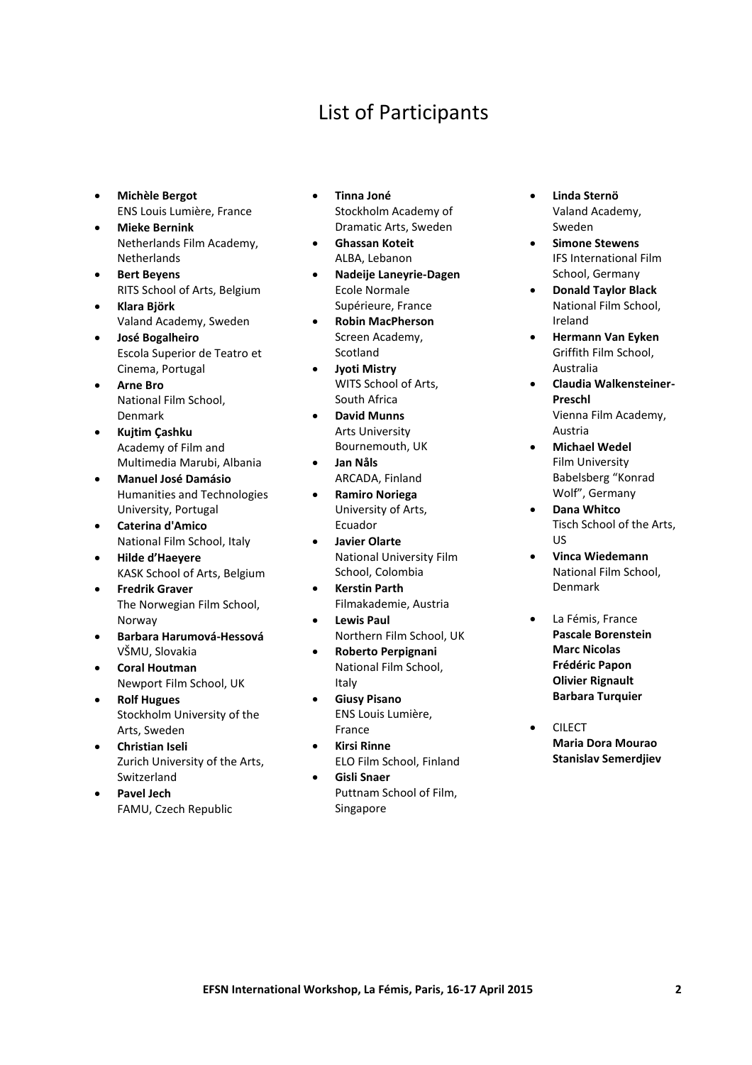## List of Participants

- **Michèle Bergot** ENS Louis Lumière, France
- **Mieke Bernink**  Netherlands Film Academy, **Netherlands**
- **Bert Beyens**  RITS School of Arts, Belgium
- **Klara Björk** Valand Academy, Sweden
- **José Bogalheiro** Escola Superior de Teatro et Cinema, Portugal
- **Arne Bro** National Film School, Denmark
- **Kujtim Çashku**  Academy of Film and Multimedia Marubi, Albania
- **Manuel José Damásio**  Humanities and Technologies University, Portugal
- **Caterina d'Amico** National Film School, Italy
- **Hilde d'Haeyere** KASK School of Arts, Belgium
- **Fredrik Graver**  The Norwegian Film School, Norway
- **Barbara Harumová-Hessová** VŠMU, Slovakia
- **Coral Houtman** Newport Film School, UK
- **Rolf Hugues** Stockholm University of the Arts, Sweden
- **Christian Iseli**  Zurich University of the Arts, Switzerland
- **Pavel Jech** FAMU, Czech Republic
- **Tinna Joné** Stockholm Academy of Dramatic Arts, Sweden
- **Ghassan Koteit** ALBA, Lebanon
- **Nadeije Laneyrie-Dagen**  Ecole Normale Supérieure, France
- **Robin MacPherson**  Screen Academy, **Scotland**
- **Jyoti Mistry** WITS School of Arts, South Africa
- **David Munns** Arts University Bournemouth, UK
- **Jan Nåls** ARCADA, Finland
- **Ramiro Noriega** University of Arts, Ecuador
- **Javier Olarte** National University Film School, Colombia
- **Kerstin Parth** Filmakademie, Austria
- **Lewis Paul**  Northern Film School, UK
- **Roberto Perpignani** National Film School, Italy
- **Giusy Pisano**  ENS Louis Lumière, France
- **Kirsi Rinne** ELO Film School, Finland
- **Gisli Snaer** Puttnam School of Film, Singapore
- **Linda Sternö** Valand Academy, Sweden
- **Simone Stewens**  IFS International Film School, Germany
- **Donald Taylor Black** National Film School, Ireland
- **Hermann Van Eyken** Griffith Film School, Australia
- **Claudia Walkensteiner-Preschl**  Vienna Film Academy, Austria
- **Michael Wedel**  Film University Babelsberg "Konrad Wolf", Germany
- **Dana Whitco**  Tisch School of the Arts, US
- **Vinca Wiedemann**  National Film School, Denmark
- La Fémis, France **Pascale Borenstein Marc Nicolas Frédéric Papon Olivier Rignault Barbara Turquier**
- CILECT **Maria Dora Mourao Stanislav Semerdjiev**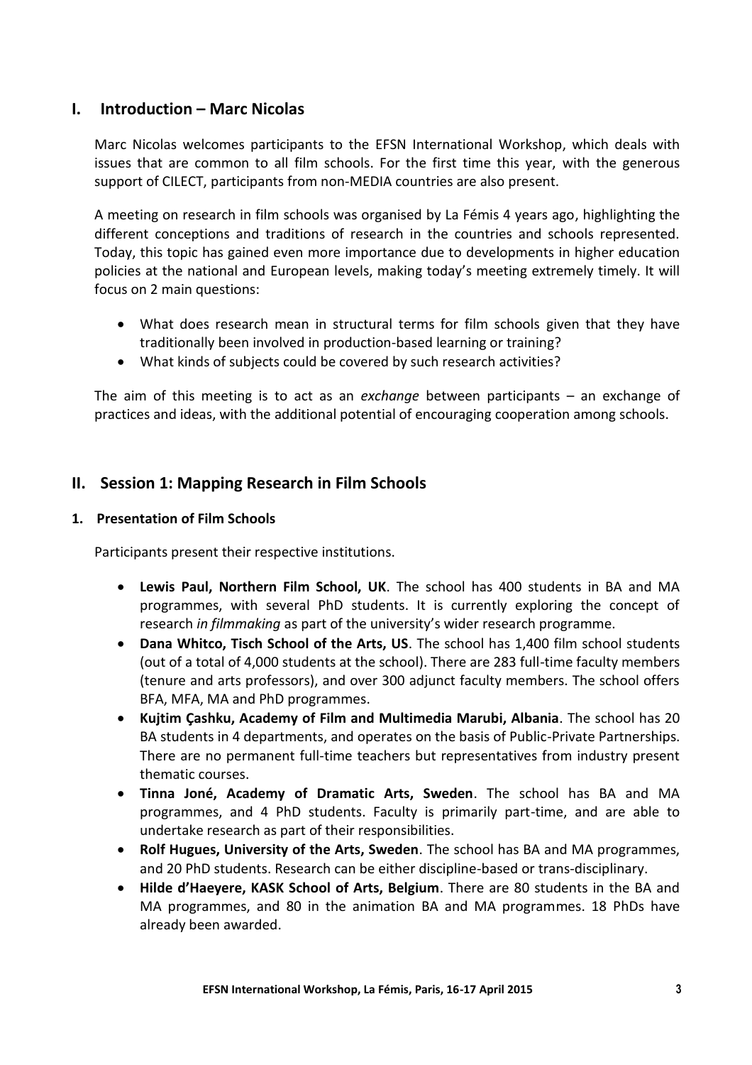## **I. Introduction – Marc Nicolas**

Marc Nicolas welcomes participants to the EFSN International Workshop, which deals with issues that are common to all film schools. For the first time this year, with the generous support of CILECT, participants from non-MEDIA countries are also present.

A meeting on research in film schools was organised by La Fémis 4 years ago, highlighting the different conceptions and traditions of research in the countries and schools represented. Today, this topic has gained even more importance due to developments in higher education policies at the national and European levels, making today's meeting extremely timely. It will focus on 2 main questions:

- What does research mean in structural terms for film schools given that they have traditionally been involved in production-based learning or training?
- What kinds of subjects could be covered by such research activities?

The aim of this meeting is to act as an *exchange* between participants – an exchange of practices and ideas, with the additional potential of encouraging cooperation among schools.

## **II. Session 1: Mapping Research in Film Schools**

## **1. Presentation of Film Schools**

Participants present their respective institutions.

- **Lewis Paul, Northern Film School, UK**. The school has 400 students in BA and MA programmes, with several PhD students. It is currently exploring the concept of research *in filmmaking* as part of the university's wider research programme.
- **Dana Whitco, Tisch School of the Arts, US**. The school has 1,400 film school students (out of a total of 4,000 students at the school). There are 283 full-time faculty members (tenure and arts professors), and over 300 adjunct faculty members. The school offers BFA, MFA, MA and PhD programmes.
- **Kujtim Çashku, Academy of Film and Multimedia Marubi, Albania**. The school has 20 BA students in 4 departments, and operates on the basis of Public-Private Partnerships. There are no permanent full-time teachers but representatives from industry present thematic courses.
- **Tinna Joné, Academy of Dramatic Arts, Sweden**. The school has BA and MA programmes, and 4 PhD students. Faculty is primarily part-time, and are able to undertake research as part of their responsibilities.
- **Rolf Hugues, University of the Arts, Sweden**. The school has BA and MA programmes, and 20 PhD students. Research can be either discipline-based or trans-disciplinary.
- **Hilde d'Haeyere, KASK School of Arts, Belgium**. There are 80 students in the BA and MA programmes, and 80 in the animation BA and MA programmes. 18 PhDs have already been awarded.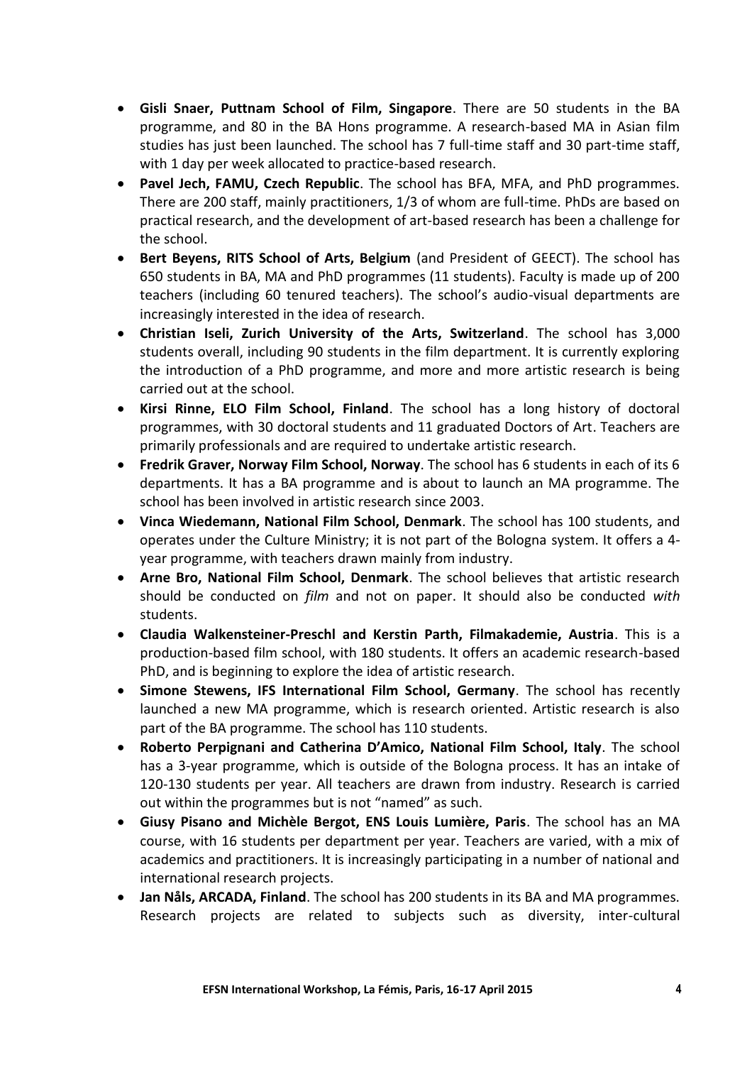- **Gisli Snaer, Puttnam School of Film, Singapore**. There are 50 students in the BA programme, and 80 in the BA Hons programme. A research-based MA in Asian film studies has just been launched. The school has 7 full-time staff and 30 part-time staff, with 1 day per week allocated to practice-based research.
- **Pavel Jech, FAMU, Czech Republic**. The school has BFA, MFA, and PhD programmes. There are 200 staff, mainly practitioners, 1/3 of whom are full-time. PhDs are based on practical research, and the development of art-based research has been a challenge for the school.
- **Bert Beyens, RITS School of Arts, Belgium** (and President of GEECT). The school has 650 students in BA, MA and PhD programmes (11 students). Faculty is made up of 200 teachers (including 60 tenured teachers). The school's audio-visual departments are increasingly interested in the idea of research.
- **Christian Iseli, Zurich University of the Arts, Switzerland**. The school has 3,000 students overall, including 90 students in the film department. It is currently exploring the introduction of a PhD programme, and more and more artistic research is being carried out at the school.
- **Kirsi Rinne, ELO Film School, Finland**. The school has a long history of doctoral programmes, with 30 doctoral students and 11 graduated Doctors of Art. Teachers are primarily professionals and are required to undertake artistic research.
- **Fredrik Graver, Norway Film School, Norway**. The school has 6 students in each of its 6 departments. It has a BA programme and is about to launch an MA programme. The school has been involved in artistic research since 2003.
- **Vinca Wiedemann, National Film School, Denmark**. The school has 100 students, and operates under the Culture Ministry; it is not part of the Bologna system. It offers a 4 year programme, with teachers drawn mainly from industry.
- **Arne Bro, National Film School, Denmark**. The school believes that artistic research should be conducted on *film* and not on paper. It should also be conducted *with* students.
- **Claudia Walkensteiner-Preschl and Kerstin Parth, Filmakademie, Austria**. This is a production-based film school, with 180 students. It offers an academic research-based PhD, and is beginning to explore the idea of artistic research.
- **Simone Stewens, IFS International Film School, Germany**. The school has recently launched a new MA programme, which is research oriented. Artistic research is also part of the BA programme. The school has 110 students.
- **Roberto Perpignani and Catherina D'Amico, National Film School, Italy**. The school has a 3-year programme, which is outside of the Bologna process. It has an intake of 120-130 students per year. All teachers are drawn from industry. Research is carried out within the programmes but is not "named" as such.
- **Giusy Pisano and Michèle Bergot, ENS Louis Lumière, Paris**. The school has an MA course, with 16 students per department per year. Teachers are varied, with a mix of academics and practitioners. It is increasingly participating in a number of national and international research projects.
- **Jan Nåls, ARCADA, Finland**. The school has 200 students in its BA and MA programmes. Research projects are related to subjects such as diversity, inter-cultural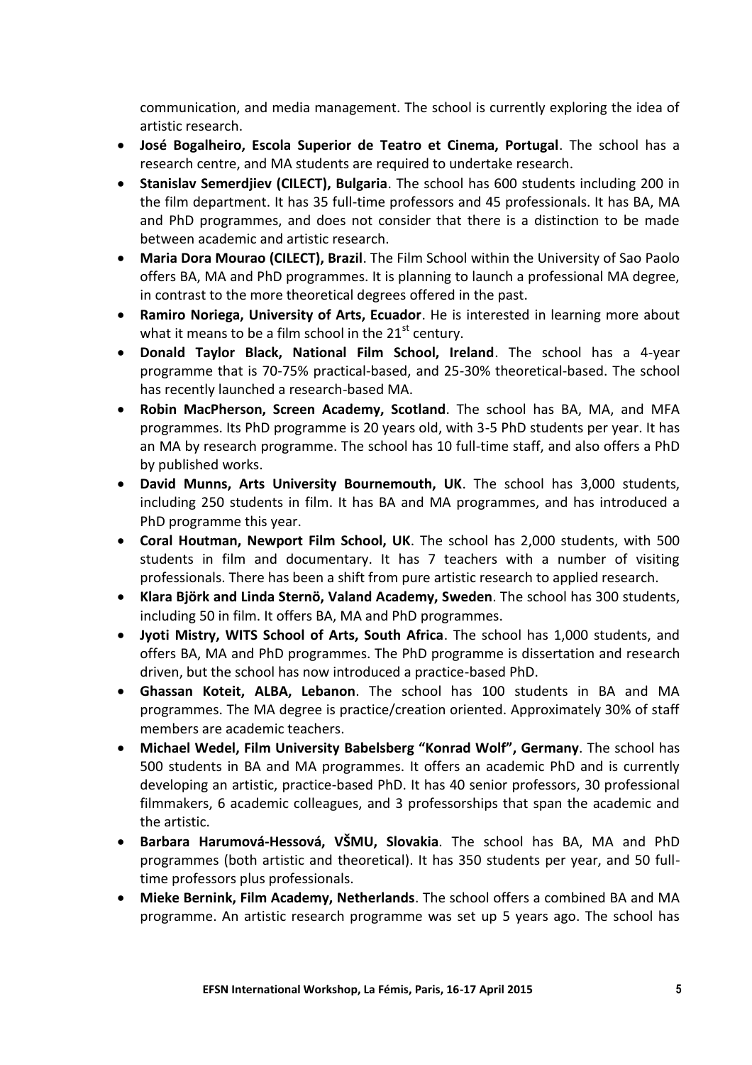communication, and media management. The school is currently exploring the idea of artistic research.

- **José Bogalheiro, Escola Superior de Teatro et Cinema, Portugal**. The school has a research centre, and MA students are required to undertake research.
- **Stanislav Semerdjiev (CILECT), Bulgaria**. The school has 600 students including 200 in the film department. It has 35 full-time professors and 45 professionals. It has BA, MA and PhD programmes, and does not consider that there is a distinction to be made between academic and artistic research.
- **Maria Dora Mourao (CILECT), Brazil**. The Film School within the University of Sao Paolo offers BA, MA and PhD programmes. It is planning to launch a professional MA degree, in contrast to the more theoretical degrees offered in the past.
- **Ramiro Noriega, University of Arts, Ecuador**. He is interested in learning more about what it means to be a film school in the  $21<sup>st</sup>$  century.
- **Donald Taylor Black, National Film School, Ireland**. The school has a 4-year programme that is 70-75% practical-based, and 25-30% theoretical-based. The school has recently launched a research-based MA.
- **Robin MacPherson, Screen Academy, Scotland**. The school has BA, MA, and MFA programmes. Its PhD programme is 20 years old, with 3-5 PhD students per year. It has an MA by research programme. The school has 10 full-time staff, and also offers a PhD by published works.
- **David Munns, Arts University Bournemouth, UK**. The school has 3,000 students, including 250 students in film. It has BA and MA programmes, and has introduced a PhD programme this year.
- **Coral Houtman, Newport Film School, UK**. The school has 2,000 students, with 500 students in film and documentary. It has 7 teachers with a number of visiting professionals. There has been a shift from pure artistic research to applied research.
- **Klara Björk and Linda Sternö, Valand Academy, Sweden**. The school has 300 students, including 50 in film. It offers BA, MA and PhD programmes.
- **Jyoti Mistry, WITS School of Arts, South Africa**. The school has 1,000 students, and offers BA, MA and PhD programmes. The PhD programme is dissertation and research driven, but the school has now introduced a practice-based PhD.
- **Ghassan Koteit, ALBA, Lebanon**. The school has 100 students in BA and MA programmes. The MA degree is practice/creation oriented. Approximately 30% of staff members are academic teachers.
- **Michael Wedel, Film University Babelsberg "Konrad Wolf", Germany**. The school has 500 students in BA and MA programmes. It offers an academic PhD and is currently developing an artistic, practice-based PhD. It has 40 senior professors, 30 professional filmmakers, 6 academic colleagues, and 3 professorships that span the academic and the artistic.
- **Barbara Harumová-Hessová, VŠMU, Slovakia**. The school has BA, MA and PhD programmes (both artistic and theoretical). It has 350 students per year, and 50 fulltime professors plus professionals.
- **Mieke Bernink, Film Academy, Netherlands**. The school offers a combined BA and MA programme. An artistic research programme was set up 5 years ago. The school has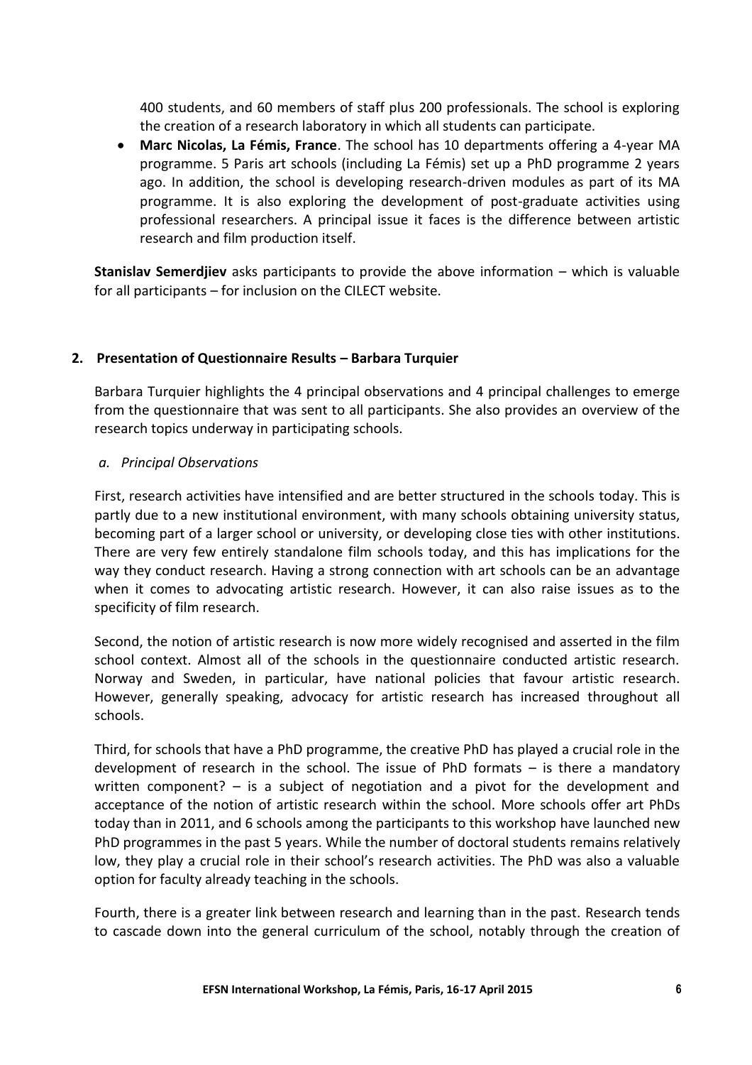400 students, and 60 members of staff plus 200 professionals. The school is exploring the creation of a research laboratory in which all students can participate.

 **Marc Nicolas, La Fémis, France**. The school has 10 departments offering a 4-year MA programme. 5 Paris art schools (including La Fémis) set up a PhD programme 2 years ago. In addition, the school is developing research-driven modules as part of its MA programme. It is also exploring the development of post-graduate activities using professional researchers. A principal issue it faces is the difference between artistic research and film production itself.

**Stanislav Semerdjiev** asks participants to provide the above information – which is valuable for all participants – for inclusion on the CILECT website.

## **2. Presentation of Questionnaire Results – Barbara Turquier**

Barbara Turquier highlights the 4 principal observations and 4 principal challenges to emerge from the questionnaire that was sent to all participants. She also provides an overview of the research topics underway in participating schools.

#### *a. Principal Observations*

First, research activities have intensified and are better structured in the schools today. This is partly due to a new institutional environment, with many schools obtaining university status, becoming part of a larger school or university, or developing close ties with other institutions. There are very few entirely standalone film schools today, and this has implications for the way they conduct research. Having a strong connection with art schools can be an advantage when it comes to advocating artistic research. However, it can also raise issues as to the specificity of film research.

Second, the notion of artistic research is now more widely recognised and asserted in the film school context. Almost all of the schools in the questionnaire conducted artistic research. Norway and Sweden, in particular, have national policies that favour artistic research. However, generally speaking, advocacy for artistic research has increased throughout all schools.

Third, for schools that have a PhD programme, the creative PhD has played a crucial role in the development of research in the school. The issue of PhD formats – is there a mandatory written component? – is a subject of negotiation and a pivot for the development and acceptance of the notion of artistic research within the school. More schools offer art PhDs today than in 2011, and 6 schools among the participants to this workshop have launched new PhD programmes in the past 5 years. While the number of doctoral students remains relatively low, they play a crucial role in their school's research activities. The PhD was also a valuable option for faculty already teaching in the schools.

Fourth, there is a greater link between research and learning than in the past. Research tends to cascade down into the general curriculum of the school, notably through the creation of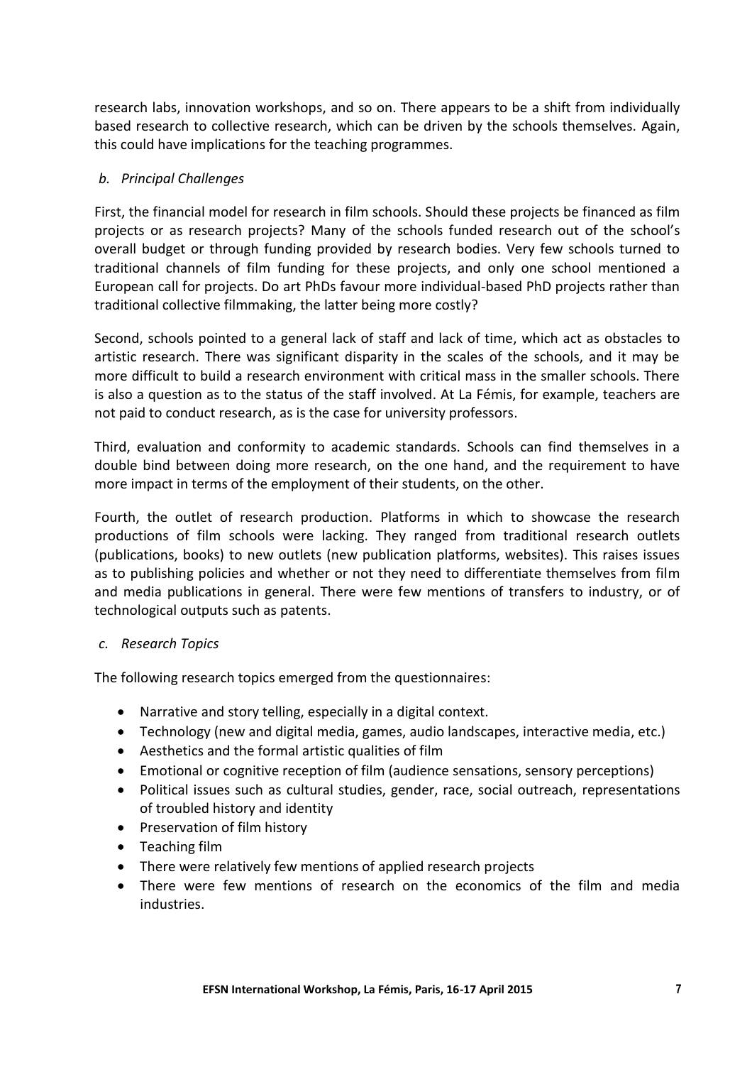research labs, innovation workshops, and so on. There appears to be a shift from individually based research to collective research, which can be driven by the schools themselves. Again, this could have implications for the teaching programmes.

## *b. Principal Challenges*

First, the financial model for research in film schools. Should these projects be financed as film projects or as research projects? Many of the schools funded research out of the school's overall budget or through funding provided by research bodies. Very few schools turned to traditional channels of film funding for these projects, and only one school mentioned a European call for projects. Do art PhDs favour more individual-based PhD projects rather than traditional collective filmmaking, the latter being more costly?

Second, schools pointed to a general lack of staff and lack of time, which act as obstacles to artistic research. There was significant disparity in the scales of the schools, and it may be more difficult to build a research environment with critical mass in the smaller schools. There is also a question as to the status of the staff involved. At La Fémis, for example, teachers are not paid to conduct research, as is the case for university professors.

Third, evaluation and conformity to academic standards. Schools can find themselves in a double bind between doing more research, on the one hand, and the requirement to have more impact in terms of the employment of their students, on the other.

Fourth, the outlet of research production. Platforms in which to showcase the research productions of film schools were lacking. They ranged from traditional research outlets (publications, books) to new outlets (new publication platforms, websites). This raises issues as to publishing policies and whether or not they need to differentiate themselves from film and media publications in general. There were few mentions of transfers to industry, or of technological outputs such as patents.

#### *c. Research Topics*

The following research topics emerged from the questionnaires:

- Narrative and story telling, especially in a digital context.
- Technology (new and digital media, games, audio landscapes, interactive media, etc.)
- Aesthetics and the formal artistic qualities of film
- Emotional or cognitive reception of film (audience sensations, sensory perceptions)
- Political issues such as cultural studies, gender, race, social outreach, representations of troubled history and identity
- Preservation of film history
- Teaching film
- There were relatively few mentions of applied research projects
- There were few mentions of research on the economics of the film and media industries.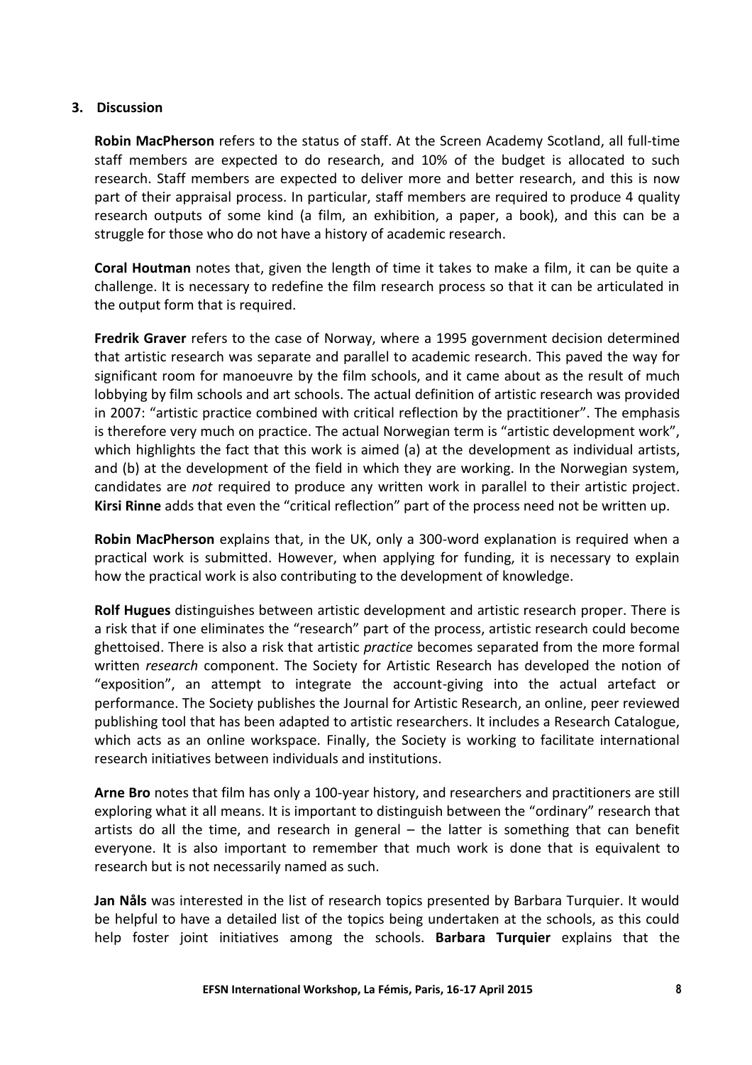#### **3. Discussion**

**Robin MacPherson** refers to the status of staff. At the Screen Academy Scotland, all full-time staff members are expected to do research, and 10% of the budget is allocated to such research. Staff members are expected to deliver more and better research, and this is now part of their appraisal process. In particular, staff members are required to produce 4 quality research outputs of some kind (a film, an exhibition, a paper, a book), and this can be a struggle for those who do not have a history of academic research.

**Coral Houtman** notes that, given the length of time it takes to make a film, it can be quite a challenge. It is necessary to redefine the film research process so that it can be articulated in the output form that is required.

**Fredrik Graver** refers to the case of Norway, where a 1995 government decision determined that artistic research was separate and parallel to academic research. This paved the way for significant room for manoeuvre by the film schools, and it came about as the result of much lobbying by film schools and art schools. The actual definition of artistic research was provided in 2007: "artistic practice combined with critical reflection by the practitioner". The emphasis is therefore very much on practice. The actual Norwegian term is "artistic development work", which highlights the fact that this work is aimed (a) at the development as individual artists, and (b) at the development of the field in which they are working. In the Norwegian system, candidates are *not* required to produce any written work in parallel to their artistic project. **Kirsi Rinne** adds that even the "critical reflection" part of the process need not be written up.

**Robin MacPherson** explains that, in the UK, only a 300-word explanation is required when a practical work is submitted. However, when applying for funding, it is necessary to explain how the practical work is also contributing to the development of knowledge.

**Rolf Hugues** distinguishes between artistic development and artistic research proper. There is a risk that if one eliminates the "research" part of the process, artistic research could become ghettoised. There is also a risk that artistic *practice* becomes separated from the more formal written *research* component. The Society for Artistic Research has developed the notion of "exposition", an attempt to integrate the account-giving into the actual artefact or performance. The Society publishes the Journal for Artistic Research, an online, peer reviewed publishing tool that has been adapted to artistic researchers. It includes a Research Catalogue, which acts as an online workspace. Finally, the Society is working to facilitate international research initiatives between individuals and institutions.

**Arne Bro** notes that film has only a 100-year history, and researchers and practitioners are still exploring what it all means. It is important to distinguish between the "ordinary" research that artists do all the time, and research in general – the latter is something that can benefit everyone. It is also important to remember that much work is done that is equivalent to research but is not necessarily named as such.

**Jan Nåls** was interested in the list of research topics presented by Barbara Turquier. It would be helpful to have a detailed list of the topics being undertaken at the schools, as this could help foster joint initiatives among the schools. **Barbara Turquier** explains that the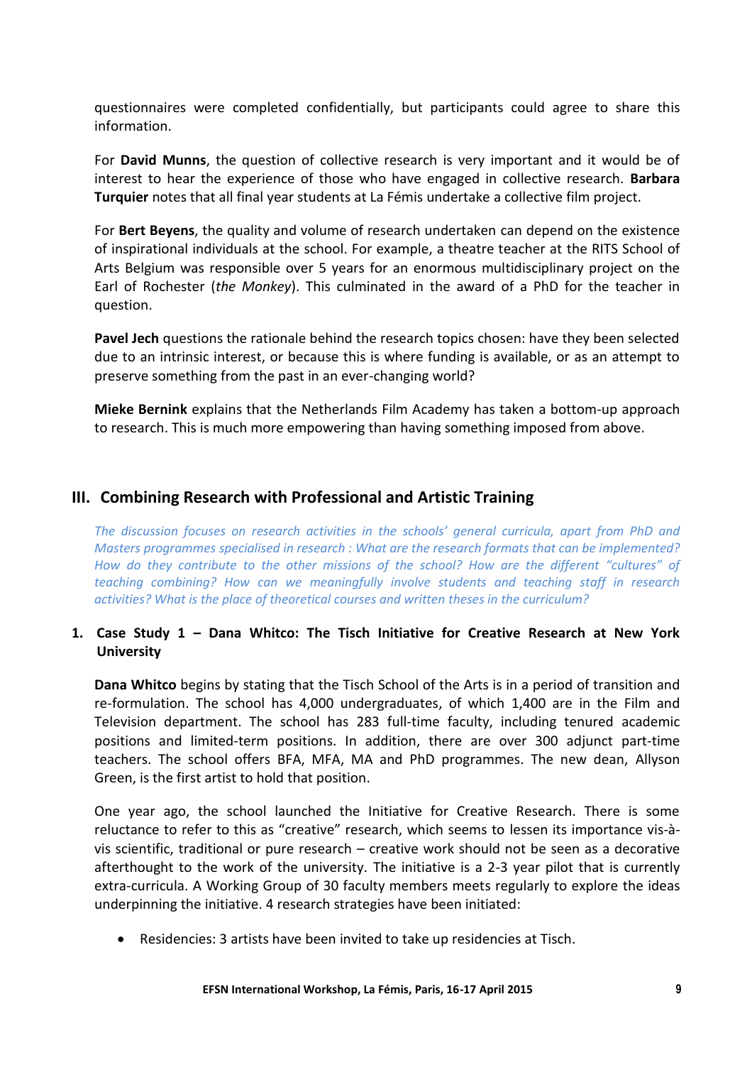questionnaires were completed confidentially, but participants could agree to share this information.

For **David Munns**, the question of collective research is very important and it would be of interest to hear the experience of those who have engaged in collective research. **Barbara Turquier** notes that all final year students at La Fémis undertake a collective film project.

For **Bert Beyens**, the quality and volume of research undertaken can depend on the existence of inspirational individuals at the school. For example, a theatre teacher at the RITS School of Arts Belgium was responsible over 5 years for an enormous multidisciplinary project on the Earl of Rochester (*the Monkey*). This culminated in the award of a PhD for the teacher in question.

**Pavel Jech** questions the rationale behind the research topics chosen: have they been selected due to an intrinsic interest, or because this is where funding is available, or as an attempt to preserve something from the past in an ever-changing world?

**Mieke Bernink** explains that the Netherlands Film Academy has taken a bottom-up approach to research. This is much more empowering than having something imposed from above.

## **III. Combining Research with Professional and Artistic Training**

*The discussion focuses on research activities in the schools' general curricula, apart from PhD and Masters programmes specialised in research : What are the research formats that can be implemented? How do they contribute to the other missions of the school? How are the different "cultures" of teaching combining? How can we meaningfully involve students and teaching staff in research activities? What is the place of theoretical courses and written theses in the curriculum?*

## **1. Case Study 1 – Dana Whitco: The Tisch Initiative for Creative Research at New York University**

**Dana Whitco** begins by stating that the Tisch School of the Arts is in a period of transition and re-formulation. The school has 4,000 undergraduates, of which 1,400 are in the Film and Television department. The school has 283 full-time faculty, including tenured academic positions and limited-term positions. In addition, there are over 300 adjunct part-time teachers. The school offers BFA, MFA, MA and PhD programmes. The new dean, Allyson Green, is the first artist to hold that position.

One year ago, the school launched the Initiative for Creative Research. There is some reluctance to refer to this as "creative" research, which seems to lessen its importance vis-àvis scientific, traditional or pure research – creative work should not be seen as a decorative afterthought to the work of the university. The initiative is a 2-3 year pilot that is currently extra-curricula. A Working Group of 30 faculty members meets regularly to explore the ideas underpinning the initiative. 4 research strategies have been initiated:

Residencies: 3 artists have been invited to take up residencies at Tisch.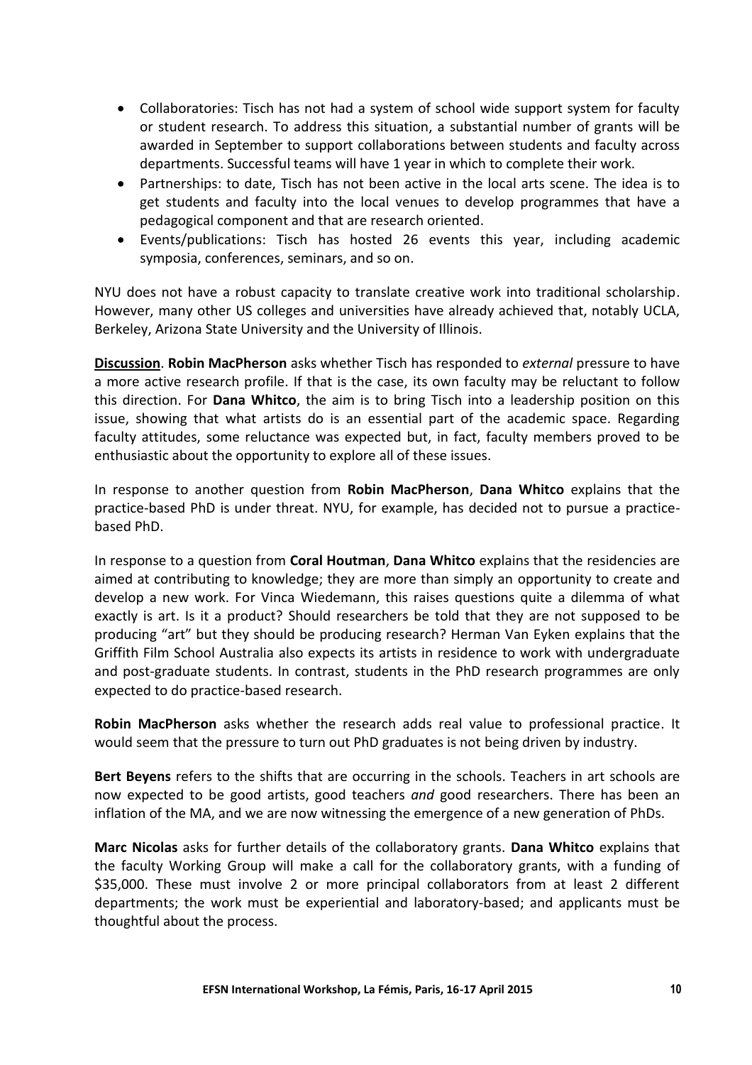- Collaboratories: Tisch has not had a system of school wide support system for faculty or student research. To address this situation, a substantial number of grants will be awarded in September to support collaborations between students and faculty across departments. Successful teams will have 1 year in which to complete their work.
- Partnerships: to date, Tisch has not been active in the local arts scene. The idea is to get students and faculty into the local venues to develop programmes that have a pedagogical component and that are research oriented.
- Events/publications: Tisch has hosted 26 events this year, including academic symposia, conferences, seminars, and so on.

NYU does not have a robust capacity to translate creative work into traditional scholarship. However, many other US colleges and universities have already achieved that, notably UCLA, Berkeley, Arizona State University and the University of Illinois.

**Discussion**. **Robin MacPherson** asks whether Tisch has responded to *external* pressure to have a more active research profile. If that is the case, its own faculty may be reluctant to follow this direction. For **Dana Whitco**, the aim is to bring Tisch into a leadership position on this issue, showing that what artists do is an essential part of the academic space. Regarding faculty attitudes, some reluctance was expected but, in fact, faculty members proved to be enthusiastic about the opportunity to explore all of these issues.

In response to another question from **Robin MacPherson**, **Dana Whitco** explains that the practice-based PhD is under threat. NYU, for example, has decided not to pursue a practicebased PhD.

In response to a question from **Coral Houtman**, **Dana Whitco** explains that the residencies are aimed at contributing to knowledge; they are more than simply an opportunity to create and develop a new work. For Vinca Wiedemann, this raises questions quite a dilemma of what exactly is art. Is it a product? Should researchers be told that they are not supposed to be producing "art" but they should be producing research? Herman Van Eyken explains that the Griffith Film School Australia also expects its artists in residence to work with undergraduate and post-graduate students. In contrast, students in the PhD research programmes are only expected to do practice-based research.

**Robin MacPherson** asks whether the research adds real value to professional practice. It would seem that the pressure to turn out PhD graduates is not being driven by industry.

**Bert Beyens** refers to the shifts that are occurring in the schools. Teachers in art schools are now expected to be good artists, good teachers *and* good researchers. There has been an inflation of the MA, and we are now witnessing the emergence of a new generation of PhDs.

**Marc Nicolas** asks for further details of the collaboratory grants. **Dana Whitco** explains that the faculty Working Group will make a call for the collaboratory grants, with a funding of \$35,000. These must involve 2 or more principal collaborators from at least 2 different departments; the work must be experiential and laboratory-based; and applicants must be thoughtful about the process.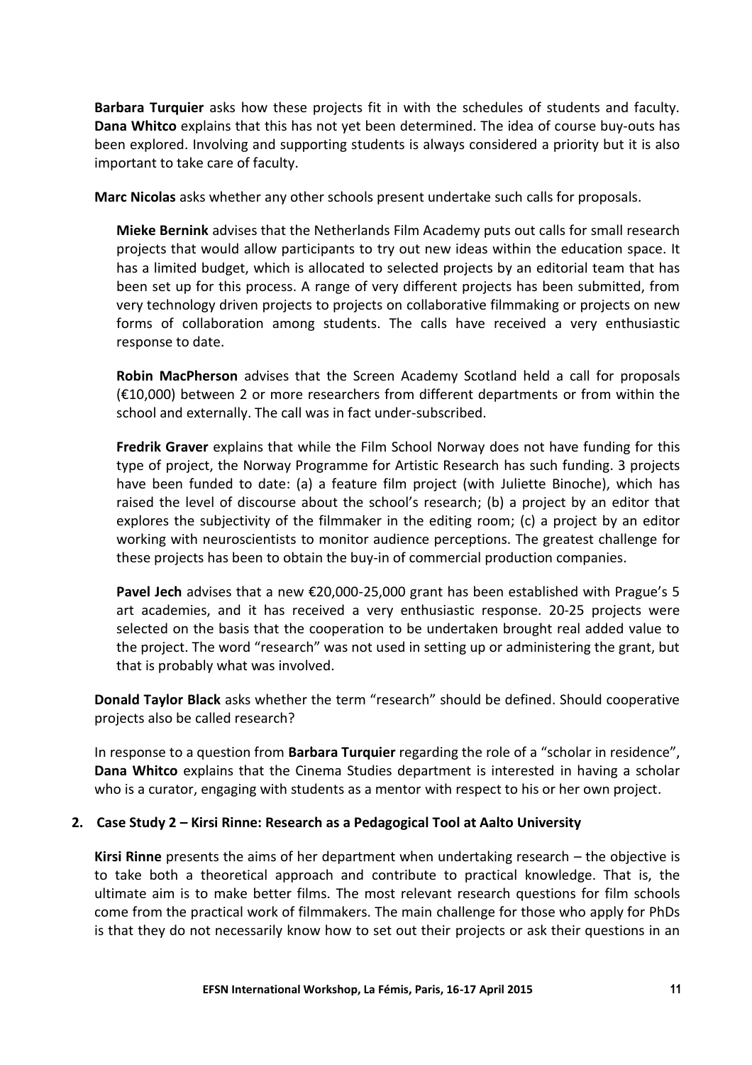**Barbara Turquier** asks how these projects fit in with the schedules of students and faculty. **Dana Whitco** explains that this has not yet been determined. The idea of course buy-outs has been explored. Involving and supporting students is always considered a priority but it is also important to take care of faculty.

**Marc Nicolas** asks whether any other schools present undertake such calls for proposals.

**Mieke Bernink** advises that the Netherlands Film Academy puts out calls for small research projects that would allow participants to try out new ideas within the education space. It has a limited budget, which is allocated to selected projects by an editorial team that has been set up for this process. A range of very different projects has been submitted, from very technology driven projects to projects on collaborative filmmaking or projects on new forms of collaboration among students. The calls have received a very enthusiastic response to date.

**Robin MacPherson** advises that the Screen Academy Scotland held a call for proposals (€10,000) between 2 or more researchers from different departments or from within the school and externally. The call was in fact under-subscribed.

**Fredrik Graver** explains that while the Film School Norway does not have funding for this type of project, the Norway Programme for Artistic Research has such funding. 3 projects have been funded to date: (a) a feature film project (with Juliette Binoche), which has raised the level of discourse about the school's research; (b) a project by an editor that explores the subjectivity of the filmmaker in the editing room; (c) a project by an editor working with neuroscientists to monitor audience perceptions. The greatest challenge for these projects has been to obtain the buy-in of commercial production companies.

**Pavel Jech** advises that a new €20,000-25,000 grant has been established with Prague's 5 art academies, and it has received a very enthusiastic response. 20-25 projects were selected on the basis that the cooperation to be undertaken brought real added value to the project. The word "research" was not used in setting up or administering the grant, but that is probably what was involved.

**Donald Taylor Black** asks whether the term "research" should be defined. Should cooperative projects also be called research?

In response to a question from **Barbara Turquier** regarding the role of a "scholar in residence", **Dana Whitco** explains that the Cinema Studies department is interested in having a scholar who is a curator, engaging with students as a mentor with respect to his or her own project.

#### **2. Case Study 2 – Kirsi Rinne: Research as a Pedagogical Tool at Aalto University**

**Kirsi Rinne** presents the aims of her department when undertaking research – the objective is to take both a theoretical approach and contribute to practical knowledge. That is, the ultimate aim is to make better films. The most relevant research questions for film schools come from the practical work of filmmakers. The main challenge for those who apply for PhDs is that they do not necessarily know how to set out their projects or ask their questions in an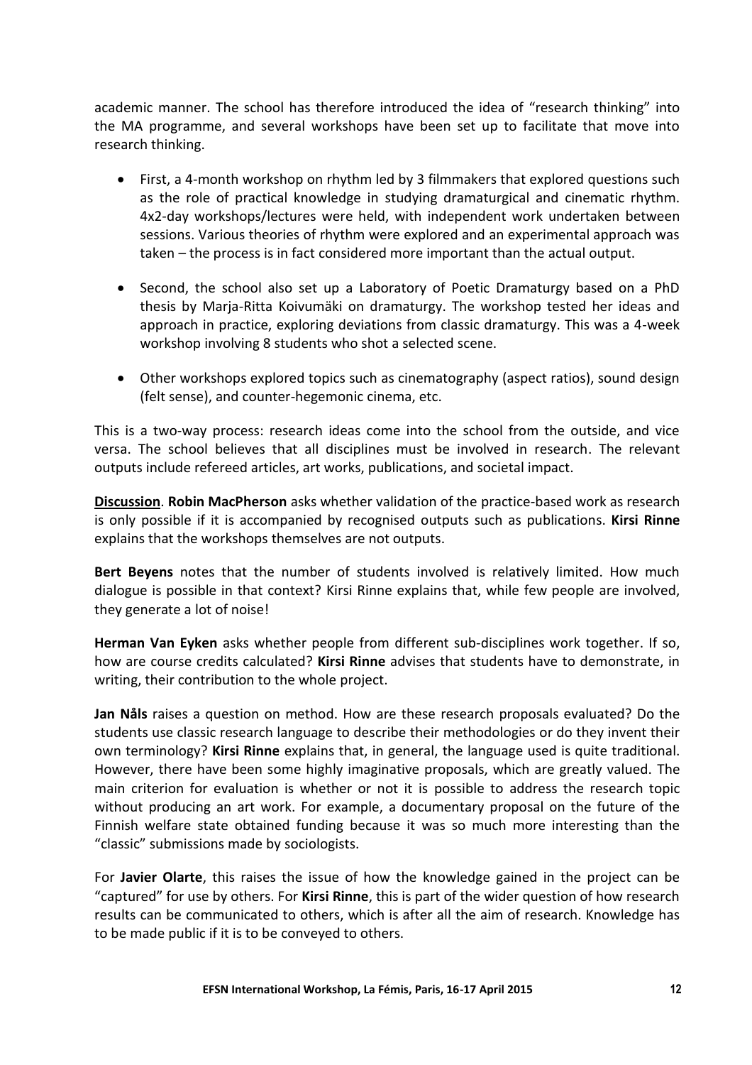academic manner. The school has therefore introduced the idea of "research thinking" into the MA programme, and several workshops have been set up to facilitate that move into research thinking.

- First, a 4-month workshop on rhythm led by 3 filmmakers that explored questions such as the role of practical knowledge in studying dramaturgical and cinematic rhythm. 4x2-day workshops/lectures were held, with independent work undertaken between sessions. Various theories of rhythm were explored and an experimental approach was taken – the process is in fact considered more important than the actual output.
- Second, the school also set up a Laboratory of Poetic Dramaturgy based on a PhD thesis by Marja-Ritta Koivumäki on dramaturgy. The workshop tested her ideas and approach in practice, exploring deviations from classic dramaturgy. This was a 4-week workshop involving 8 students who shot a selected scene.
- Other workshops explored topics such as cinematography (aspect ratios), sound design (felt sense), and counter-hegemonic cinema, etc.

This is a two-way process: research ideas come into the school from the outside, and vice versa. The school believes that all disciplines must be involved in research. The relevant outputs include refereed articles, art works, publications, and societal impact.

**Discussion**. **Robin MacPherson** asks whether validation of the practice-based work as research is only possible if it is accompanied by recognised outputs such as publications. **Kirsi Rinne** explains that the workshops themselves are not outputs.

**Bert Beyens** notes that the number of students involved is relatively limited. How much dialogue is possible in that context? Kirsi Rinne explains that, while few people are involved, they generate a lot of noise!

**Herman Van Eyken** asks whether people from different sub-disciplines work together. If so, how are course credits calculated? **Kirsi Rinne** advises that students have to demonstrate, in writing, their contribution to the whole project.

**Jan Nåls** raises a question on method. How are these research proposals evaluated? Do the students use classic research language to describe their methodologies or do they invent their own terminology? **Kirsi Rinne** explains that, in general, the language used is quite traditional. However, there have been some highly imaginative proposals, which are greatly valued. The main criterion for evaluation is whether or not it is possible to address the research topic without producing an art work. For example, a documentary proposal on the future of the Finnish welfare state obtained funding because it was so much more interesting than the "classic" submissions made by sociologists.

For **Javier Olarte**, this raises the issue of how the knowledge gained in the project can be "captured" for use by others. For **Kirsi Rinne**, this is part of the wider question of how research results can be communicated to others, which is after all the aim of research. Knowledge has to be made public if it is to be conveyed to others.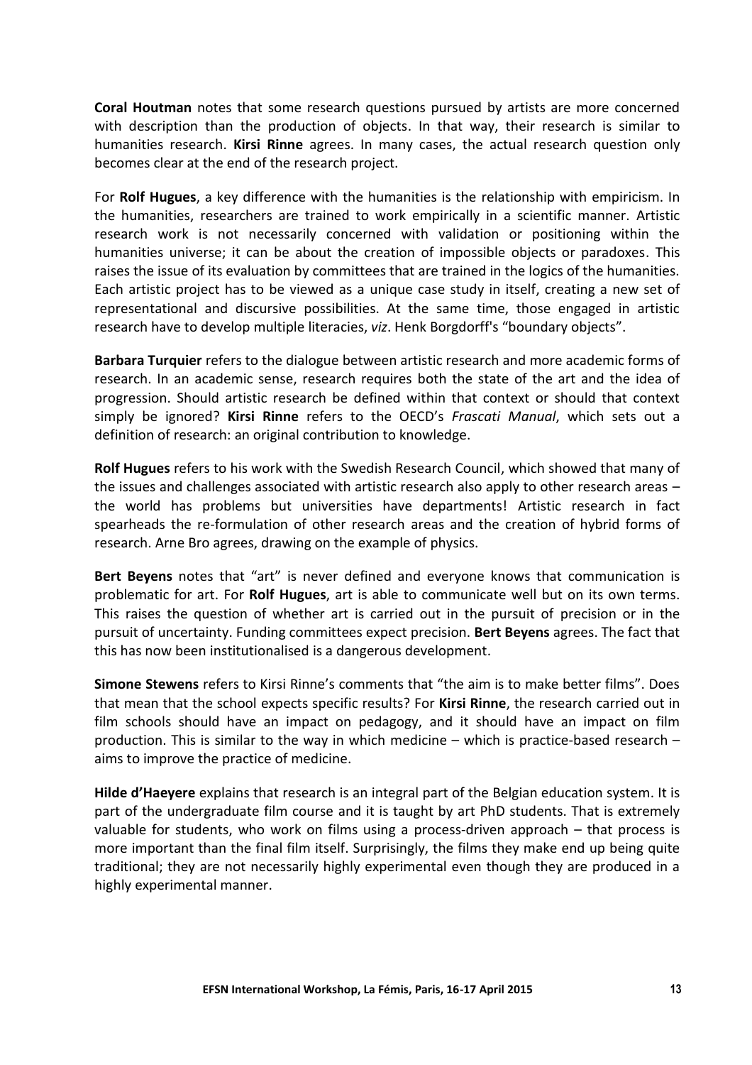**Coral Houtman** notes that some research questions pursued by artists are more concerned with description than the production of objects. In that way, their research is similar to humanities research. **Kirsi Rinne** agrees. In many cases, the actual research question only becomes clear at the end of the research project.

For **Rolf Hugues**, a key difference with the humanities is the relationship with empiricism. In the humanities, researchers are trained to work empirically in a scientific manner. Artistic research work is not necessarily concerned with validation or positioning within the humanities universe; it can be about the creation of impossible objects or paradoxes. This raises the issue of its evaluation by committees that are trained in the logics of the humanities. Each artistic project has to be viewed as a unique case study in itself, creating a new set of representational and discursive possibilities. At the same time, those engaged in artistic research have to develop multiple literacies, *viz*. Henk Borgdorff's "boundary objects".

**Barbara Turquier** refers to the dialogue between artistic research and more academic forms of research. In an academic sense, research requires both the state of the art and the idea of progression. Should artistic research be defined within that context or should that context simply be ignored? **Kirsi Rinne** refers to the OECD's *Frascati Manual*, which sets out a definition of research: an original contribution to knowledge.

**Rolf Hugues** refers to his work with the Swedish Research Council, which showed that many of the issues and challenges associated with artistic research also apply to other research areas – the world has problems but universities have departments! Artistic research in fact spearheads the re-formulation of other research areas and the creation of hybrid forms of research. Arne Bro agrees, drawing on the example of physics.

**Bert Beyens** notes that "art" is never defined and everyone knows that communication is problematic for art. For **Rolf Hugues**, art is able to communicate well but on its own terms. This raises the question of whether art is carried out in the pursuit of precision or in the pursuit of uncertainty. Funding committees expect precision. **Bert Beyens** agrees. The fact that this has now been institutionalised is a dangerous development.

**Simone Stewens** refers to Kirsi Rinne's comments that "the aim is to make better films". Does that mean that the school expects specific results? For **Kirsi Rinne**, the research carried out in film schools should have an impact on pedagogy, and it should have an impact on film production. This is similar to the way in which medicine – which is practice-based research – aims to improve the practice of medicine.

**Hilde d'Haeyere** explains that research is an integral part of the Belgian education system. It is part of the undergraduate film course and it is taught by art PhD students. That is extremely valuable for students, who work on films using a process-driven approach – that process is more important than the final film itself. Surprisingly, the films they make end up being quite traditional; they are not necessarily highly experimental even though they are produced in a highly experimental manner.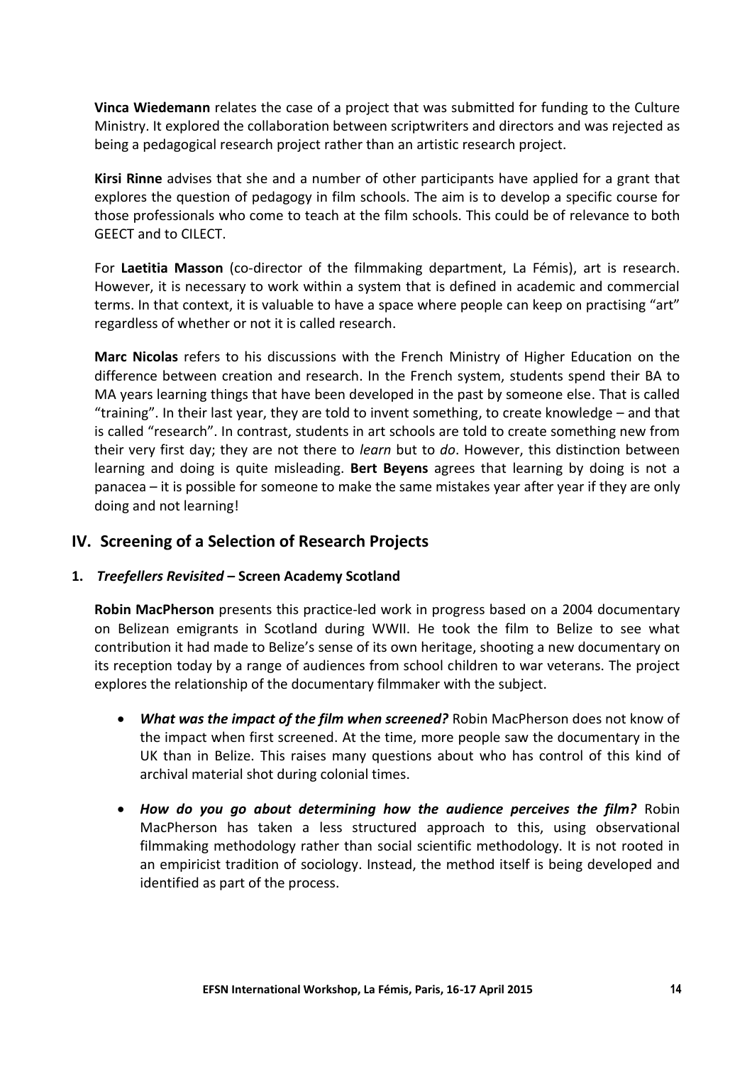**Vinca Wiedemann** relates the case of a project that was submitted for funding to the Culture Ministry. It explored the collaboration between scriptwriters and directors and was rejected as being a pedagogical research project rather than an artistic research project.

**Kirsi Rinne** advises that she and a number of other participants have applied for a grant that explores the question of pedagogy in film schools. The aim is to develop a specific course for those professionals who come to teach at the film schools. This could be of relevance to both GEECT and to CILECT.

For **Laetitia Masson** (co-director of the filmmaking department, La Fémis), art is research. However, it is necessary to work within a system that is defined in academic and commercial terms. In that context, it is valuable to have a space where people can keep on practising "art" regardless of whether or not it is called research.

**Marc Nicolas** refers to his discussions with the French Ministry of Higher Education on the difference between creation and research. In the French system, students spend their BA to MA years learning things that have been developed in the past by someone else. That is called "training". In their last year, they are told to invent something, to create knowledge – and that is called "research". In contrast, students in art schools are told to create something new from their very first day; they are not there to *learn* but to *do*. However, this distinction between learning and doing is quite misleading. **Bert Beyens** agrees that learning by doing is not a panacea – it is possible for someone to make the same mistakes year after year if they are only doing and not learning!

## **IV. Screening of a Selection of Research Projects**

#### **1.** *Treefellers Revisited* **– Screen Academy Scotland**

**Robin MacPherson** presents this practice-led work in progress based on a 2004 documentary on Belizean emigrants in Scotland during WWII. He took the film to Belize to see what contribution it had made to Belize's sense of its own heritage, shooting a new documentary on its reception today by a range of audiences from school children to war veterans. The project explores the relationship of the documentary filmmaker with the subject.

- *What was the impact of the film when screened?* Robin MacPherson does not know of the impact when first screened. At the time, more people saw the documentary in the UK than in Belize. This raises many questions about who has control of this kind of archival material shot during colonial times.
- *How do you go about determining how the audience perceives the film?* Robin MacPherson has taken a less structured approach to this, using observational filmmaking methodology rather than social scientific methodology. It is not rooted in an empiricist tradition of sociology. Instead, the method itself is being developed and identified as part of the process.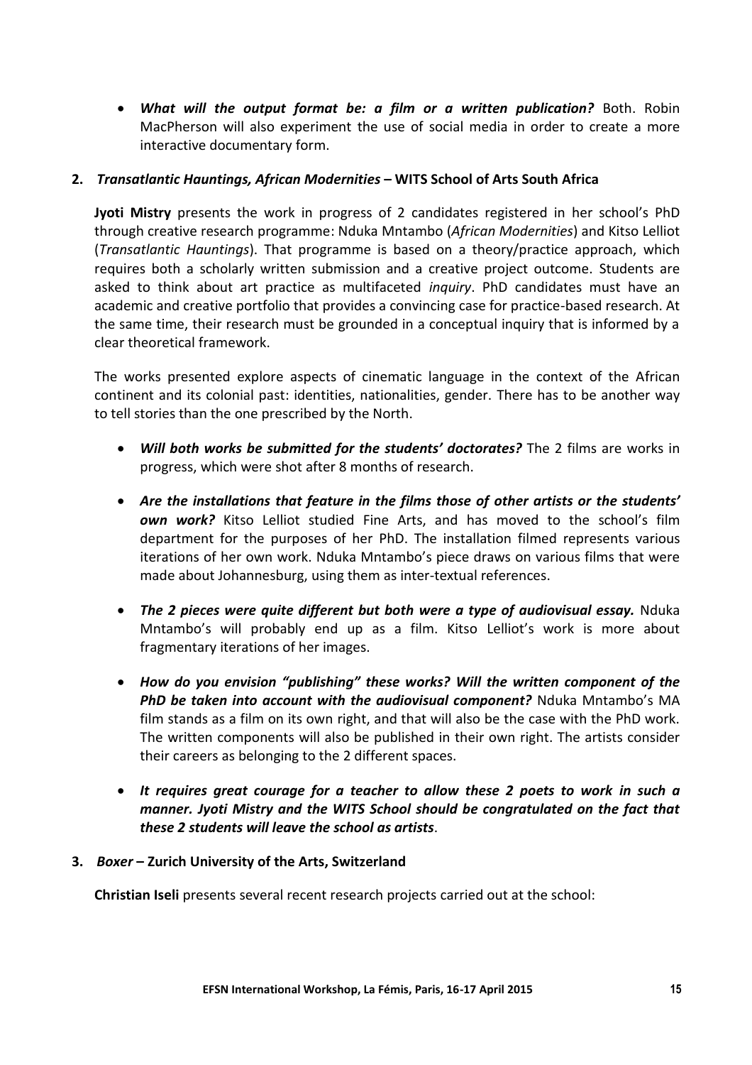*What will the output format be: a film or a written publication?* Both. Robin MacPherson will also experiment the use of social media in order to create a more interactive documentary form.

## **2.** *Transatlantic Hauntings, African Modernities* **– WITS School of Arts South Africa**

**Jyoti Mistry** presents the work in progress of 2 candidates registered in her school's PhD through creative research programme: Nduka Mntambo (*African Modernities*) and Kitso Lelliot (*Transatlantic Hauntings*). That programme is based on a theory/practice approach, which requires both a scholarly written submission and a creative project outcome. Students are asked to think about art practice as multifaceted *inquiry*. PhD candidates must have an academic and creative portfolio that provides a convincing case for practice-based research. At the same time, their research must be grounded in a conceptual inquiry that is informed by a clear theoretical framework.

The works presented explore aspects of cinematic language in the context of the African continent and its colonial past: identities, nationalities, gender. There has to be another way to tell stories than the one prescribed by the North.

- *Will both works be submitted for the students' doctorates?* The 2 films are works in progress, which were shot after 8 months of research.
- Are the installations that feature in the films those of other artists or the students' *own work?* Kitso Lelliot studied Fine Arts, and has moved to the school's film department for the purposes of her PhD. The installation filmed represents various iterations of her own work. Nduka Mntambo's piece draws on various films that were made about Johannesburg, using them as inter-textual references.
- *The 2 pieces were quite different but both were a type of audiovisual essay.* Nduka Mntambo's will probably end up as a film. Kitso Lelliot's work is more about fragmentary iterations of her images.
- *How do you envision "publishing" these works? Will the written component of the PhD be taken into account with the audiovisual component?* Nduka Mntambo's MA film stands as a film on its own right, and that will also be the case with the PhD work. The written components will also be published in their own right. The artists consider their careers as belonging to the 2 different spaces.
- *It requires great courage for a teacher to allow these 2 poets to work in such a manner. Jyoti Mistry and the WITS School should be congratulated on the fact that these 2 students will leave the school as artists*.

#### **3.** *Boxer* **– Zurich University of the Arts, Switzerland**

**Christian Iseli** presents several recent research projects carried out at the school: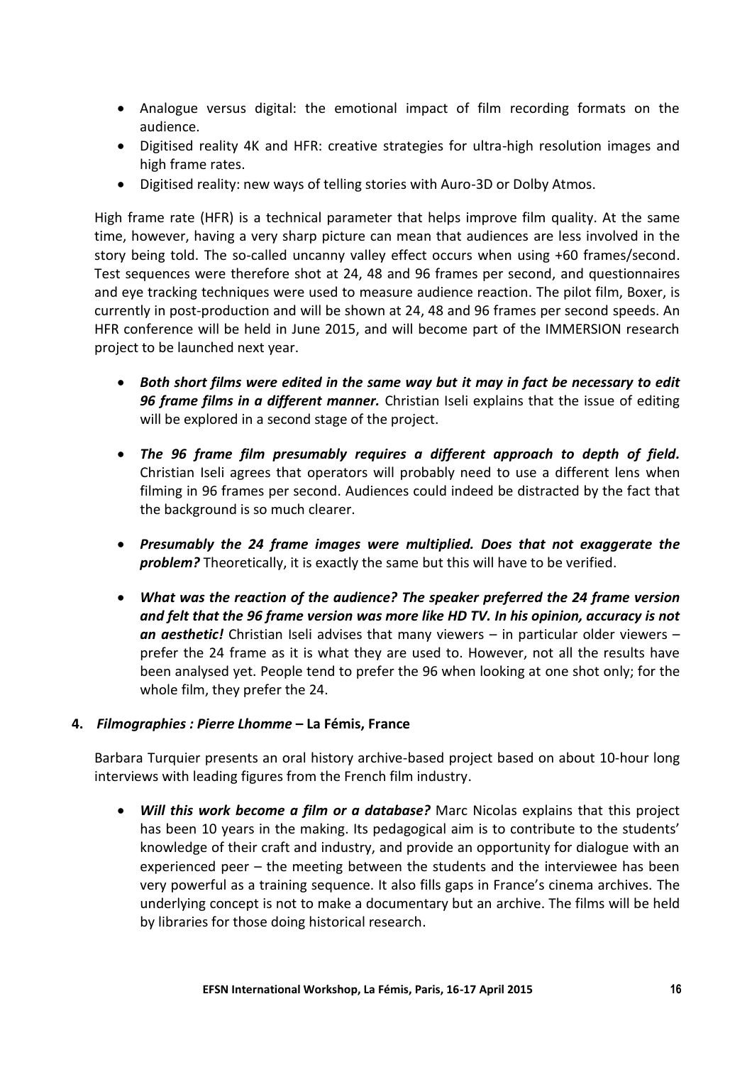- Analogue versus digital: the emotional impact of film recording formats on the audience.
- Digitised reality 4K and HFR: creative strategies for ultra-high resolution images and high frame rates.
- Digitised reality: new ways of telling stories with Auro-3D or Dolby Atmos.

High frame rate (HFR) is a technical parameter that helps improve film quality. At the same time, however, having a very sharp picture can mean that audiences are less involved in the story being told. The so-called uncanny valley effect occurs when using +60 frames/second. Test sequences were therefore shot at 24, 48 and 96 frames per second, and questionnaires and eye tracking techniques were used to measure audience reaction. The pilot film, Boxer, is currently in post-production and will be shown at 24, 48 and 96 frames per second speeds. An HFR conference will be held in June 2015, and will become part of the IMMERSION research project to be launched next year.

- *Both short films were edited in the same way but it may in fact be necessary to edit 96 frame films in a different manner.* Christian Iseli explains that the issue of editing will be explored in a second stage of the project.
- *The 96 frame film presumably requires a different approach to depth of field.* Christian Iseli agrees that operators will probably need to use a different lens when filming in 96 frames per second. Audiences could indeed be distracted by the fact that the background is so much clearer.
- *Presumably the 24 frame images were multiplied. Does that not exaggerate the problem?* Theoretically, it is exactly the same but this will have to be verified.
- *What was the reaction of the audience? The speaker preferred the 24 frame version and felt that the 96 frame version was more like HD TV. In his opinion, accuracy is not an aesthetic!* Christian Iseli advises that many viewers – in particular older viewers – prefer the 24 frame as it is what they are used to. However, not all the results have been analysed yet. People tend to prefer the 96 when looking at one shot only; for the whole film, they prefer the 24.

## **4.** *Filmographies : Pierre Lhomme* **– La Fémis, France**

Barbara Turquier presents an oral history archive-based project based on about 10-hour long interviews with leading figures from the French film industry.

 *Will this work become a film or a database?* Marc Nicolas explains that this project has been 10 years in the making. Its pedagogical aim is to contribute to the students' knowledge of their craft and industry, and provide an opportunity for dialogue with an experienced peer – the meeting between the students and the interviewee has been very powerful as a training sequence. It also fills gaps in France's cinema archives. The underlying concept is not to make a documentary but an archive. The films will be held by libraries for those doing historical research.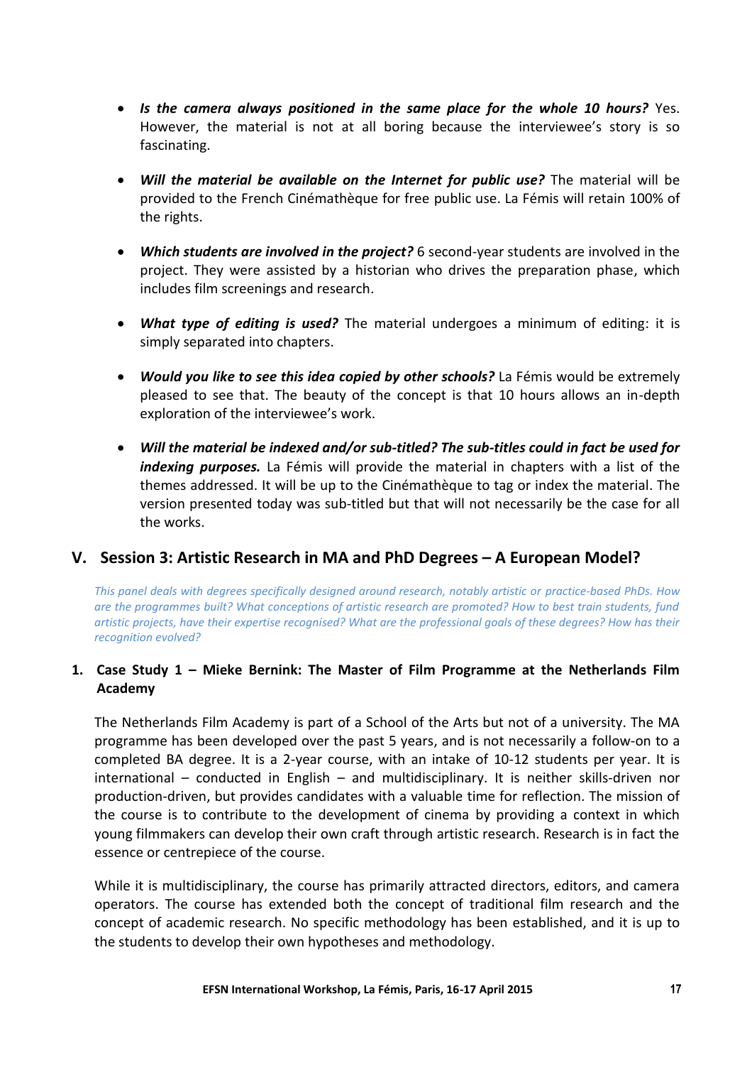- *Is the camera always positioned in the same place for the whole 10 hours?* Yes. However, the material is not at all boring because the interviewee's story is so fascinating.
- *Will the material be available on the Internet for public use?* The material will be provided to the French Cinémathèque for free public use. La Fémis will retain 100% of the rights.
- *Which students are involved in the project?* 6 second-year students are involved in the project. They were assisted by a historian who drives the preparation phase, which includes film screenings and research.
- *What type of editing is used?* The material undergoes a minimum of editing: it is simply separated into chapters.
- *Would you like to see this idea copied by other schools?* La Fémis would be extremely pleased to see that. The beauty of the concept is that 10 hours allows an in-depth exploration of the interviewee's work.
- *Will the material be indexed and/or sub-titled? The sub-titles could in fact be used for indexing purposes.* La Fémis will provide the material in chapters with a list of the themes addressed. It will be up to the Cinémathèque to tag or index the material. The version presented today was sub-titled but that will not necessarily be the case for all the works.

## **V. Session 3: Artistic Research in MA and PhD Degrees – A European Model?**

*This panel deals with degrees specifically designed around research, notably artistic or practice-based PhDs. How are the programmes built? What conceptions of artistic research are promoted? How to best train students, fund artistic projects, have their expertise recognised? What are the professional goals of these degrees? How has their recognition evolved?*

## **1. Case Study 1 – Mieke Bernink: The Master of Film Programme at the Netherlands Film Academy**

The Netherlands Film Academy is part of a School of the Arts but not of a university. The MA programme has been developed over the past 5 years, and is not necessarily a follow-on to a completed BA degree. It is a 2-year course, with an intake of 10-12 students per year. It is international – conducted in English – and multidisciplinary. It is neither skills-driven nor production-driven, but provides candidates with a valuable time for reflection. The mission of the course is to contribute to the development of cinema by providing a context in which young filmmakers can develop their own craft through artistic research. Research is in fact the essence or centrepiece of the course.

While it is multidisciplinary, the course has primarily attracted directors, editors, and camera operators. The course has extended both the concept of traditional film research and the concept of academic research. No specific methodology has been established, and it is up to the students to develop their own hypotheses and methodology.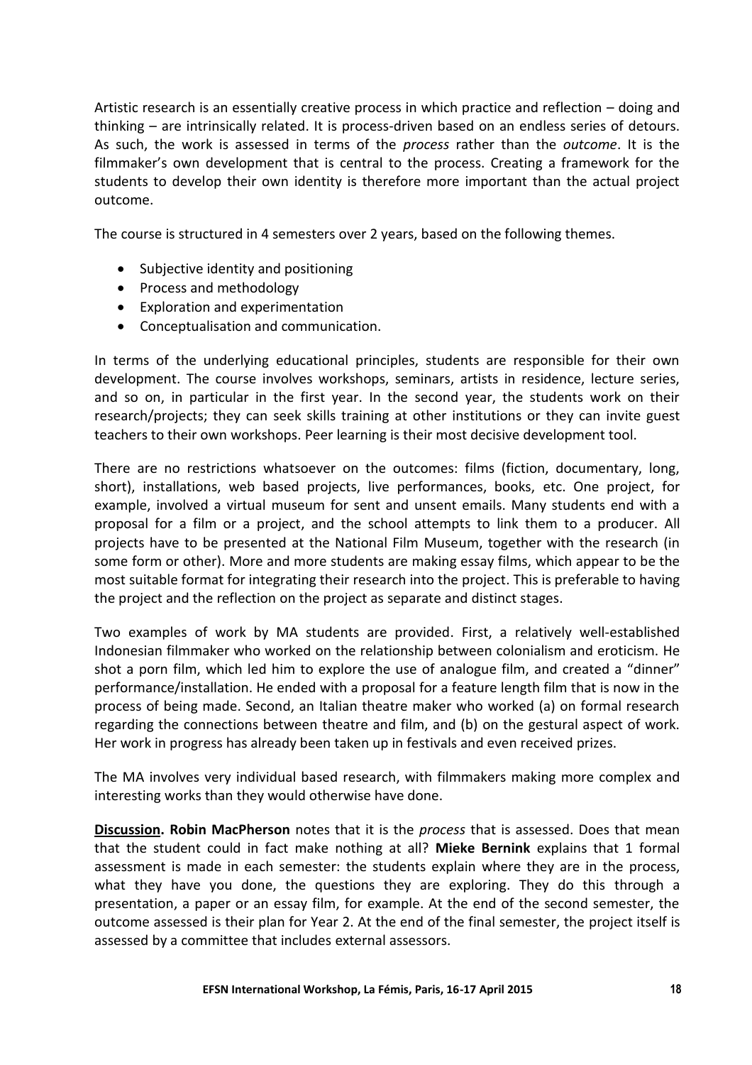Artistic research is an essentially creative process in which practice and reflection – doing and thinking – are intrinsically related. It is process-driven based on an endless series of detours. As such, the work is assessed in terms of the *process* rather than the *outcome*. It is the filmmaker's own development that is central to the process. Creating a framework for the students to develop their own identity is therefore more important than the actual project outcome.

The course is structured in 4 semesters over 2 years, based on the following themes.

- Subjective identity and positioning
- Process and methodology
- Exploration and experimentation
- Conceptualisation and communication.

In terms of the underlying educational principles, students are responsible for their own development. The course involves workshops, seminars, artists in residence, lecture series, and so on, in particular in the first year. In the second year, the students work on their research/projects; they can seek skills training at other institutions or they can invite guest teachers to their own workshops. Peer learning is their most decisive development tool.

There are no restrictions whatsoever on the outcomes: films (fiction, documentary, long, short), installations, web based projects, live performances, books, etc. One project, for example, involved a virtual museum for sent and unsent emails. Many students end with a proposal for a film or a project, and the school attempts to link them to a producer. All projects have to be presented at the National Film Museum, together with the research (in some form or other). More and more students are making essay films, which appear to be the most suitable format for integrating their research into the project. This is preferable to having the project and the reflection on the project as separate and distinct stages.

Two examples of work by MA students are provided. First, a relatively well-established Indonesian filmmaker who worked on the relationship between colonialism and eroticism. He shot a porn film, which led him to explore the use of analogue film, and created a "dinner" performance/installation. He ended with a proposal for a feature length film that is now in the process of being made. Second, an Italian theatre maker who worked (a) on formal research regarding the connections between theatre and film, and (b) on the gestural aspect of work. Her work in progress has already been taken up in festivals and even received prizes.

The MA involves very individual based research, with filmmakers making more complex and interesting works than they would otherwise have done.

**Discussion. Robin MacPherson** notes that it is the *process* that is assessed. Does that mean that the student could in fact make nothing at all? **Mieke Bernink** explains that 1 formal assessment is made in each semester: the students explain where they are in the process, what they have you done, the questions they are exploring. They do this through a presentation, a paper or an essay film, for example. At the end of the second semester, the outcome assessed is their plan for Year 2. At the end of the final semester, the project itself is assessed by a committee that includes external assessors.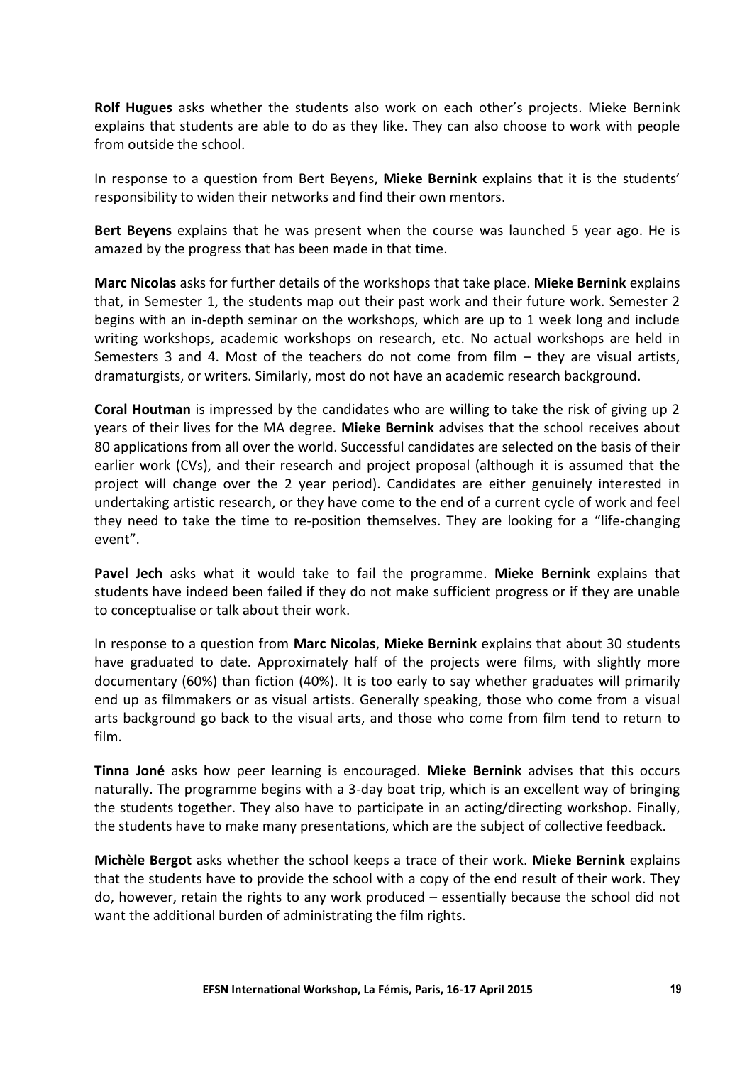**Rolf Hugues** asks whether the students also work on each other's projects. Mieke Bernink explains that students are able to do as they like. They can also choose to work with people from outside the school.

In response to a question from Bert Beyens, **Mieke Bernink** explains that it is the students' responsibility to widen their networks and find their own mentors.

**Bert Beyens** explains that he was present when the course was launched 5 year ago. He is amazed by the progress that has been made in that time.

**Marc Nicolas** asks for further details of the workshops that take place. **Mieke Bernink** explains that, in Semester 1, the students map out their past work and their future work. Semester 2 begins with an in-depth seminar on the workshops, which are up to 1 week long and include writing workshops, academic workshops on research, etc. No actual workshops are held in Semesters 3 and 4. Most of the teachers do not come from film – they are visual artists, dramaturgists, or writers. Similarly, most do not have an academic research background.

**Coral Houtman** is impressed by the candidates who are willing to take the risk of giving up 2 years of their lives for the MA degree. **Mieke Bernink** advises that the school receives about 80 applications from all over the world. Successful candidates are selected on the basis of their earlier work (CVs), and their research and project proposal (although it is assumed that the project will change over the 2 year period). Candidates are either genuinely interested in undertaking artistic research, or they have come to the end of a current cycle of work and feel they need to take the time to re-position themselves. They are looking for a "life-changing event".

**Pavel Jech** asks what it would take to fail the programme. **Mieke Bernink** explains that students have indeed been failed if they do not make sufficient progress or if they are unable to conceptualise or talk about their work.

In response to a question from **Marc Nicolas**, **Mieke Bernink** explains that about 30 students have graduated to date. Approximately half of the projects were films, with slightly more documentary (60%) than fiction (40%). It is too early to say whether graduates will primarily end up as filmmakers or as visual artists. Generally speaking, those who come from a visual arts background go back to the visual arts, and those who come from film tend to return to film.

**Tinna Joné** asks how peer learning is encouraged. **Mieke Bernink** advises that this occurs naturally. The programme begins with a 3-day boat trip, which is an excellent way of bringing the students together. They also have to participate in an acting/directing workshop. Finally, the students have to make many presentations, which are the subject of collective feedback.

**Michèle Bergot** asks whether the school keeps a trace of their work. **Mieke Bernink** explains that the students have to provide the school with a copy of the end result of their work. They do, however, retain the rights to any work produced – essentially because the school did not want the additional burden of administrating the film rights.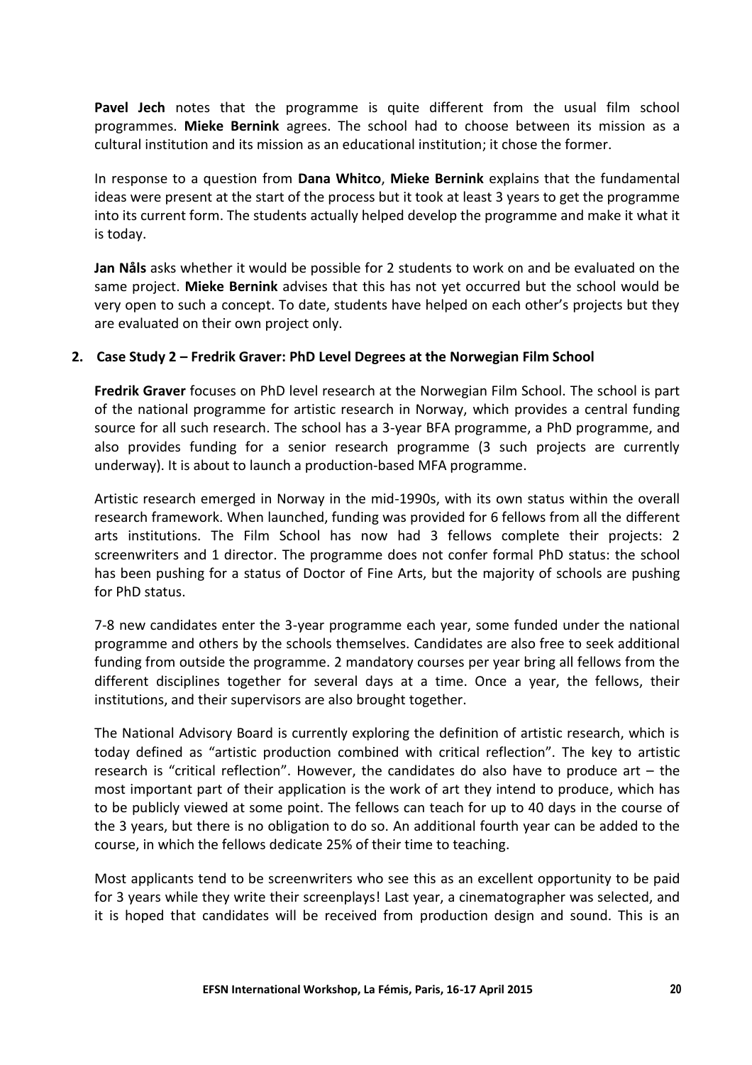**Pavel Jech** notes that the programme is quite different from the usual film school programmes. **Mieke Bernink** agrees. The school had to choose between its mission as a cultural institution and its mission as an educational institution; it chose the former.

In response to a question from **Dana Whitco**, **Mieke Bernink** explains that the fundamental ideas were present at the start of the process but it took at least 3 years to get the programme into its current form. The students actually helped develop the programme and make it what it is today.

**Jan Nåls** asks whether it would be possible for 2 students to work on and be evaluated on the same project. **Mieke Bernink** advises that this has not yet occurred but the school would be very open to such a concept. To date, students have helped on each other's projects but they are evaluated on their own project only.

#### **2. Case Study 2 – Fredrik Graver: PhD Level Degrees at the Norwegian Film School**

**Fredrik Graver** focuses on PhD level research at the Norwegian Film School. The school is part of the national programme for artistic research in Norway, which provides a central funding source for all such research. The school has a 3-year BFA programme, a PhD programme, and also provides funding for a senior research programme (3 such projects are currently underway). It is about to launch a production-based MFA programme.

Artistic research emerged in Norway in the mid-1990s, with its own status within the overall research framework. When launched, funding was provided for 6 fellows from all the different arts institutions. The Film School has now had 3 fellows complete their projects: 2 screenwriters and 1 director. The programme does not confer formal PhD status: the school has been pushing for a status of Doctor of Fine Arts, but the majority of schools are pushing for PhD status.

7-8 new candidates enter the 3-year programme each year, some funded under the national programme and others by the schools themselves. Candidates are also free to seek additional funding from outside the programme. 2 mandatory courses per year bring all fellows from the different disciplines together for several days at a time. Once a year, the fellows, their institutions, and their supervisors are also brought together.

The National Advisory Board is currently exploring the definition of artistic research, which is today defined as "artistic production combined with critical reflection". The key to artistic research is "critical reflection". However, the candidates do also have to produce art – the most important part of their application is the work of art they intend to produce, which has to be publicly viewed at some point. The fellows can teach for up to 40 days in the course of the 3 years, but there is no obligation to do so. An additional fourth year can be added to the course, in which the fellows dedicate 25% of their time to teaching.

Most applicants tend to be screenwriters who see this as an excellent opportunity to be paid for 3 years while they write their screenplays! Last year, a cinematographer was selected, and it is hoped that candidates will be received from production design and sound. This is an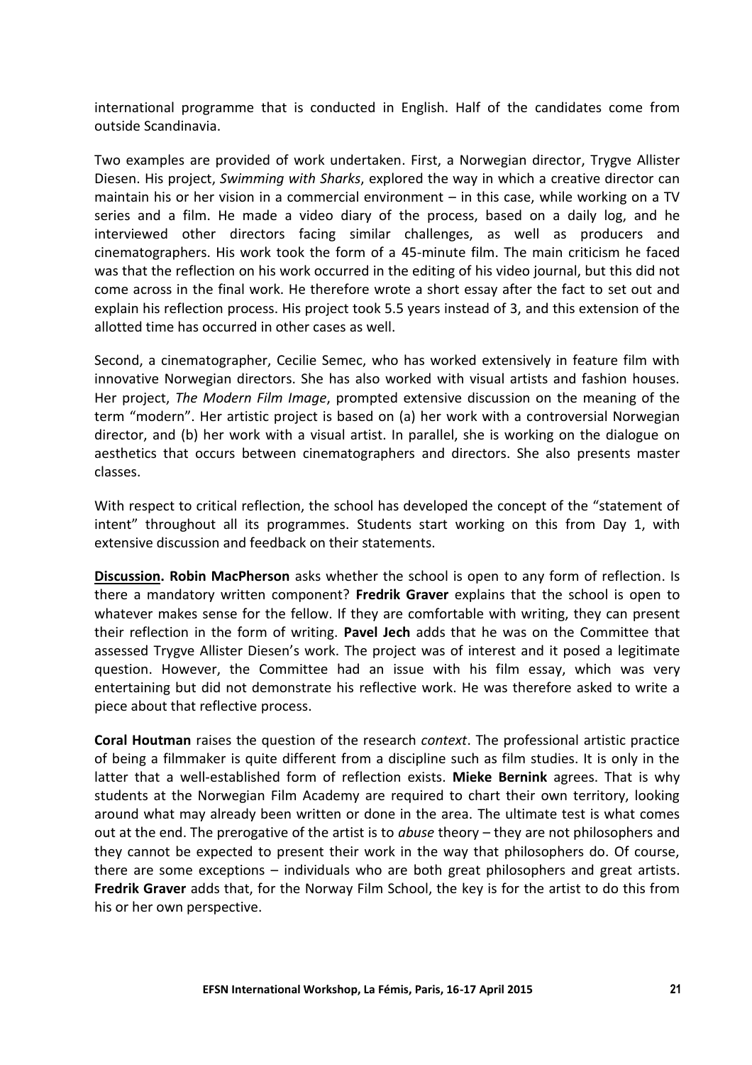international programme that is conducted in English. Half of the candidates come from outside Scandinavia.

Two examples are provided of work undertaken. First, a Norwegian director, Trygve Allister Diesen. His project, *Swimming with Sharks*, explored the way in which a creative director can maintain his or her vision in a commercial environment – in this case, while working on a TV series and a film. He made a video diary of the process, based on a daily log, and he interviewed other directors facing similar challenges, as well as producers and cinematographers. His work took the form of a 45-minute film. The main criticism he faced was that the reflection on his work occurred in the editing of his video journal, but this did not come across in the final work. He therefore wrote a short essay after the fact to set out and explain his reflection process. His project took 5.5 years instead of 3, and this extension of the allotted time has occurred in other cases as well.

Second, a cinematographer, Cecilie Semec, who has worked extensively in feature film with innovative Norwegian directors. She has also worked with visual artists and fashion houses. Her project, *The Modern Film Image*, prompted extensive discussion on the meaning of the term "modern". Her artistic project is based on (a) her work with a controversial Norwegian director, and (b) her work with a visual artist. In parallel, she is working on the dialogue on aesthetics that occurs between cinematographers and directors. She also presents master classes.

With respect to critical reflection, the school has developed the concept of the "statement of intent" throughout all its programmes. Students start working on this from Day 1, with extensive discussion and feedback on their statements.

**Discussion. Robin MacPherson** asks whether the school is open to any form of reflection. Is there a mandatory written component? **Fredrik Graver** explains that the school is open to whatever makes sense for the fellow. If they are comfortable with writing, they can present their reflection in the form of writing. **Pavel Jech** adds that he was on the Committee that assessed Trygve Allister Diesen's work. The project was of interest and it posed a legitimate question. However, the Committee had an issue with his film essay, which was very entertaining but did not demonstrate his reflective work. He was therefore asked to write a piece about that reflective process.

**Coral Houtman** raises the question of the research *context*. The professional artistic practice of being a filmmaker is quite different from a discipline such as film studies. It is only in the latter that a well-established form of reflection exists. **Mieke Bernink** agrees. That is why students at the Norwegian Film Academy are required to chart their own territory, looking around what may already been written or done in the area. The ultimate test is what comes out at the end. The prerogative of the artist is to *abuse* theory – they are not philosophers and they cannot be expected to present their work in the way that philosophers do. Of course, there are some exceptions – individuals who are both great philosophers and great artists. **Fredrik Graver** adds that, for the Norway Film School, the key is for the artist to do this from his or her own perspective.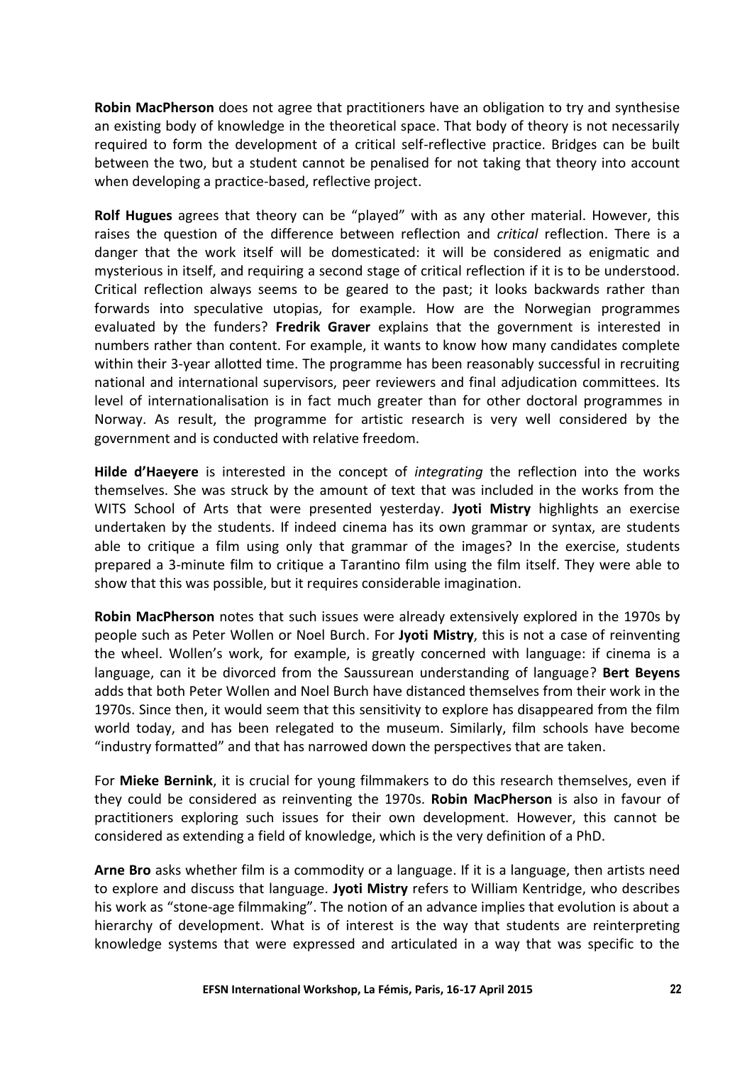**Robin MacPherson** does not agree that practitioners have an obligation to try and synthesise an existing body of knowledge in the theoretical space. That body of theory is not necessarily required to form the development of a critical self-reflective practice. Bridges can be built between the two, but a student cannot be penalised for not taking that theory into account when developing a practice-based, reflective project.

**Rolf Hugues** agrees that theory can be "played" with as any other material. However, this raises the question of the difference between reflection and *critical* reflection. There is a danger that the work itself will be domesticated: it will be considered as enigmatic and mysterious in itself, and requiring a second stage of critical reflection if it is to be understood. Critical reflection always seems to be geared to the past; it looks backwards rather than forwards into speculative utopias, for example. How are the Norwegian programmes evaluated by the funders? **Fredrik Graver** explains that the government is interested in numbers rather than content. For example, it wants to know how many candidates complete within their 3-year allotted time. The programme has been reasonably successful in recruiting national and international supervisors, peer reviewers and final adjudication committees. Its level of internationalisation is in fact much greater than for other doctoral programmes in Norway. As result, the programme for artistic research is very well considered by the government and is conducted with relative freedom.

**Hilde d'Haeyere** is interested in the concept of *integrating* the reflection into the works themselves. She was struck by the amount of text that was included in the works from the WITS School of Arts that were presented yesterday. **Jyoti Mistry** highlights an exercise undertaken by the students. If indeed cinema has its own grammar or syntax, are students able to critique a film using only that grammar of the images? In the exercise, students prepared a 3-minute film to critique a Tarantino film using the film itself. They were able to show that this was possible, but it requires considerable imagination.

**Robin MacPherson** notes that such issues were already extensively explored in the 1970s by people such as Peter Wollen or Noel Burch. For **Jyoti Mistry**, this is not a case of reinventing the wheel. Wollen's work, for example, is greatly concerned with language: if cinema is a language, can it be divorced from the Saussurean understanding of language? **Bert Beyens** adds that both Peter Wollen and Noel Burch have distanced themselves from their work in the 1970s. Since then, it would seem that this sensitivity to explore has disappeared from the film world today, and has been relegated to the museum. Similarly, film schools have become "industry formatted" and that has narrowed down the perspectives that are taken.

For **Mieke Bernink**, it is crucial for young filmmakers to do this research themselves, even if they could be considered as reinventing the 1970s. **Robin MacPherson** is also in favour of practitioners exploring such issues for their own development. However, this cannot be considered as extending a field of knowledge, which is the very definition of a PhD.

**Arne Bro** asks whether film is a commodity or a language. If it is a language, then artists need to explore and discuss that language. **Jyoti Mistry** refers to William Kentridge, who describes his work as "stone-age filmmaking". The notion of an advance implies that evolution is about a hierarchy of development. What is of interest is the way that students are reinterpreting knowledge systems that were expressed and articulated in a way that was specific to the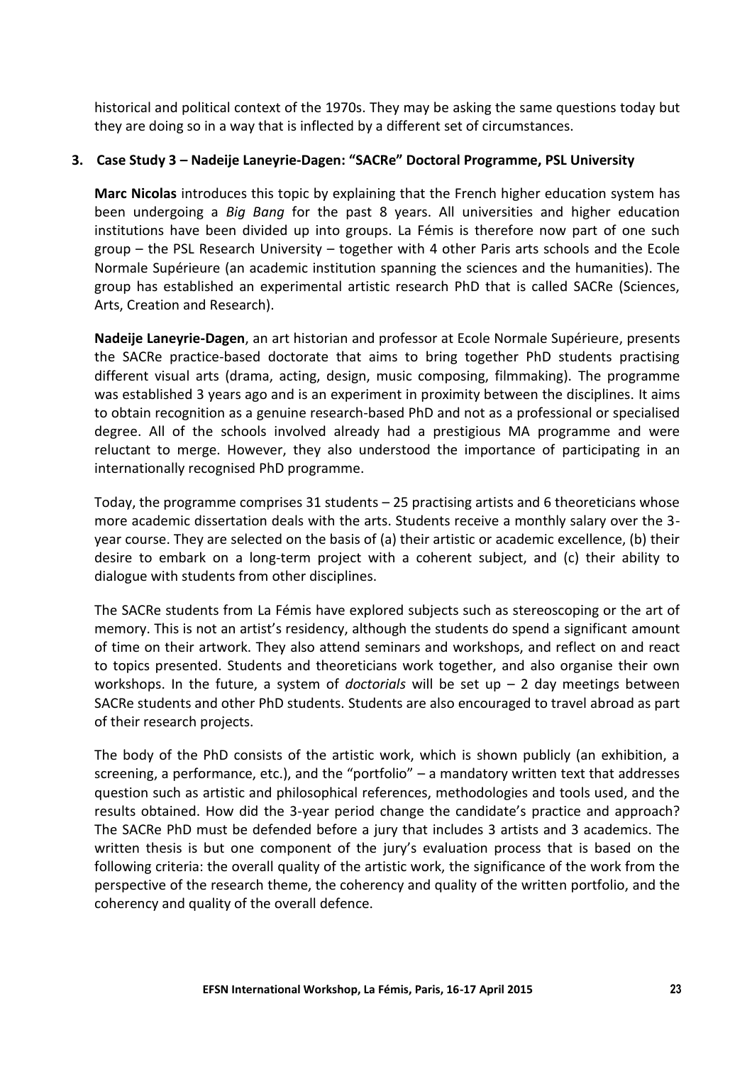historical and political context of the 1970s. They may be asking the same questions today but they are doing so in a way that is inflected by a different set of circumstances.

## **3. Case Study 3 – Nadeije Laneyrie-Dagen: "SACRe" Doctoral Programme, PSL University**

**Marc Nicolas** introduces this topic by explaining that the French higher education system has been undergoing a *Big Bang* for the past 8 years. All universities and higher education institutions have been divided up into groups. La Fémis is therefore now part of one such group – the PSL Research University – together with 4 other Paris arts schools and the Ecole Normale Supérieure (an academic institution spanning the sciences and the humanities). The group has established an experimental artistic research PhD that is called SACRe (Sciences, Arts, Creation and Research).

**Nadeije Laneyrie-Dagen**, an art historian and professor at Ecole Normale Supérieure, presents the SACRe practice-based doctorate that aims to bring together PhD students practising different visual arts (drama, acting, design, music composing, filmmaking). The programme was established 3 years ago and is an experiment in proximity between the disciplines. It aims to obtain recognition as a genuine research-based PhD and not as a professional or specialised degree. All of the schools involved already had a prestigious MA programme and were reluctant to merge. However, they also understood the importance of participating in an internationally recognised PhD programme.

Today, the programme comprises 31 students – 25 practising artists and 6 theoreticians whose more academic dissertation deals with the arts. Students receive a monthly salary over the 3 year course. They are selected on the basis of (a) their artistic or academic excellence, (b) their desire to embark on a long-term project with a coherent subject, and (c) their ability to dialogue with students from other disciplines.

The SACRe students from La Fémis have explored subjects such as stereoscoping or the art of memory. This is not an artist's residency, although the students do spend a significant amount of time on their artwork. They also attend seminars and workshops, and reflect on and react to topics presented. Students and theoreticians work together, and also organise their own workshops. In the future, a system of *doctorials* will be set up – 2 day meetings between SACRe students and other PhD students. Students are also encouraged to travel abroad as part of their research projects.

The body of the PhD consists of the artistic work, which is shown publicly (an exhibition, a screening, a performance, etc.), and the "portfolio" – a mandatory written text that addresses question such as artistic and philosophical references, methodologies and tools used, and the results obtained. How did the 3-year period change the candidate's practice and approach? The SACRe PhD must be defended before a jury that includes 3 artists and 3 academics. The written thesis is but one component of the jury's evaluation process that is based on the following criteria: the overall quality of the artistic work, the significance of the work from the perspective of the research theme, the coherency and quality of the written portfolio, and the coherency and quality of the overall defence.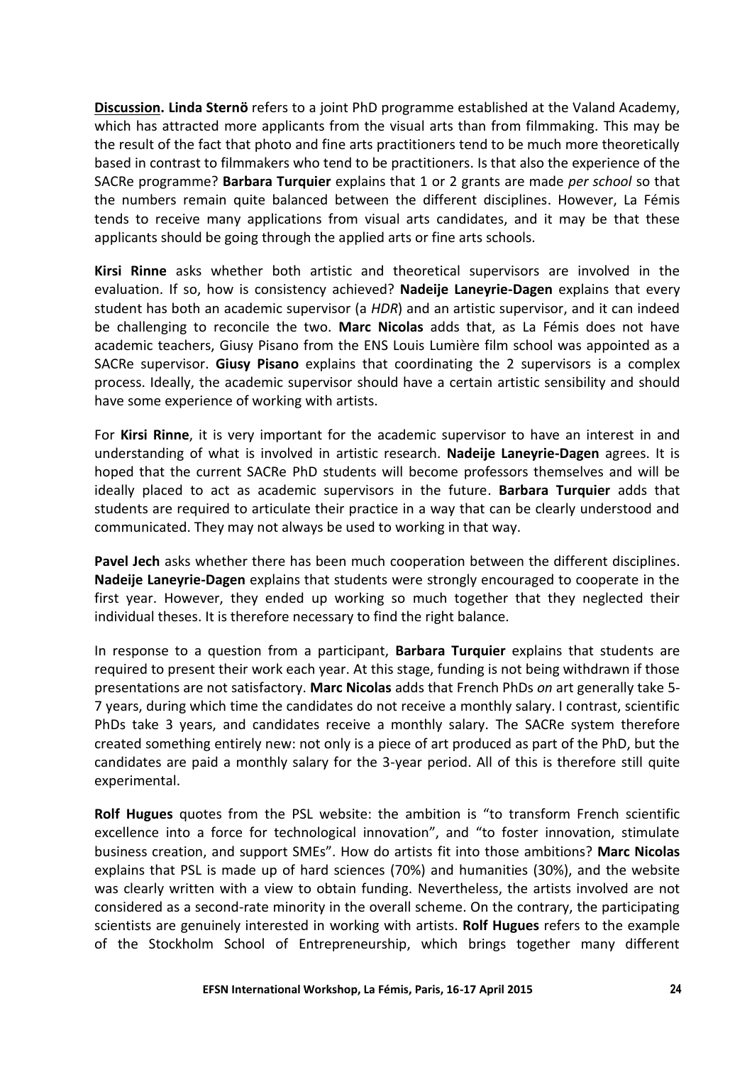**Discussion. Linda Sternö** refers to a joint PhD programme established at the Valand Academy, which has attracted more applicants from the visual arts than from filmmaking. This may be the result of the fact that photo and fine arts practitioners tend to be much more theoretically based in contrast to filmmakers who tend to be practitioners. Is that also the experience of the SACRe programme? **Barbara Turquier** explains that 1 or 2 grants are made *per school* so that the numbers remain quite balanced between the different disciplines. However, La Fémis tends to receive many applications from visual arts candidates, and it may be that these applicants should be going through the applied arts or fine arts schools.

**Kirsi Rinne** asks whether both artistic and theoretical supervisors are involved in the evaluation. If so, how is consistency achieved? **Nadeije Laneyrie-Dagen** explains that every student has both an academic supervisor (a *HDR*) and an artistic supervisor, and it can indeed be challenging to reconcile the two. **Marc Nicolas** adds that, as La Fémis does not have academic teachers, Giusy Pisano from the ENS Louis Lumière film school was appointed as a SACRe supervisor. **Giusy Pisano** explains that coordinating the 2 supervisors is a complex process. Ideally, the academic supervisor should have a certain artistic sensibility and should have some experience of working with artists.

For **Kirsi Rinne**, it is very important for the academic supervisor to have an interest in and understanding of what is involved in artistic research. **Nadeije Laneyrie-Dagen** agrees. It is hoped that the current SACRe PhD students will become professors themselves and will be ideally placed to act as academic supervisors in the future. **Barbara Turquier** adds that students are required to articulate their practice in a way that can be clearly understood and communicated. They may not always be used to working in that way.

**Pavel Jech** asks whether there has been much cooperation between the different disciplines. **Nadeije Laneyrie-Dagen** explains that students were strongly encouraged to cooperate in the first year. However, they ended up working so much together that they neglected their individual theses. It is therefore necessary to find the right balance.

In response to a question from a participant, **Barbara Turquier** explains that students are required to present their work each year. At this stage, funding is not being withdrawn if those presentations are not satisfactory. **Marc Nicolas** adds that French PhDs *on* art generally take 5- 7 years, during which time the candidates do not receive a monthly salary. I contrast, scientific PhDs take 3 years, and candidates receive a monthly salary. The SACRe system therefore created something entirely new: not only is a piece of art produced as part of the PhD, but the candidates are paid a monthly salary for the 3-year period. All of this is therefore still quite experimental.

**Rolf Hugues** quotes from the PSL website: the ambition is "to transform French scientific excellence into a force for technological innovation", and "to foster innovation, stimulate business creation, and support SMEs". How do artists fit into those ambitions? **Marc Nicolas** explains that PSL is made up of hard sciences (70%) and humanities (30%), and the website was clearly written with a view to obtain funding. Nevertheless, the artists involved are not considered as a second-rate minority in the overall scheme. On the contrary, the participating scientists are genuinely interested in working with artists. **Rolf Hugues** refers to the example of the Stockholm School of Entrepreneurship, which brings together many different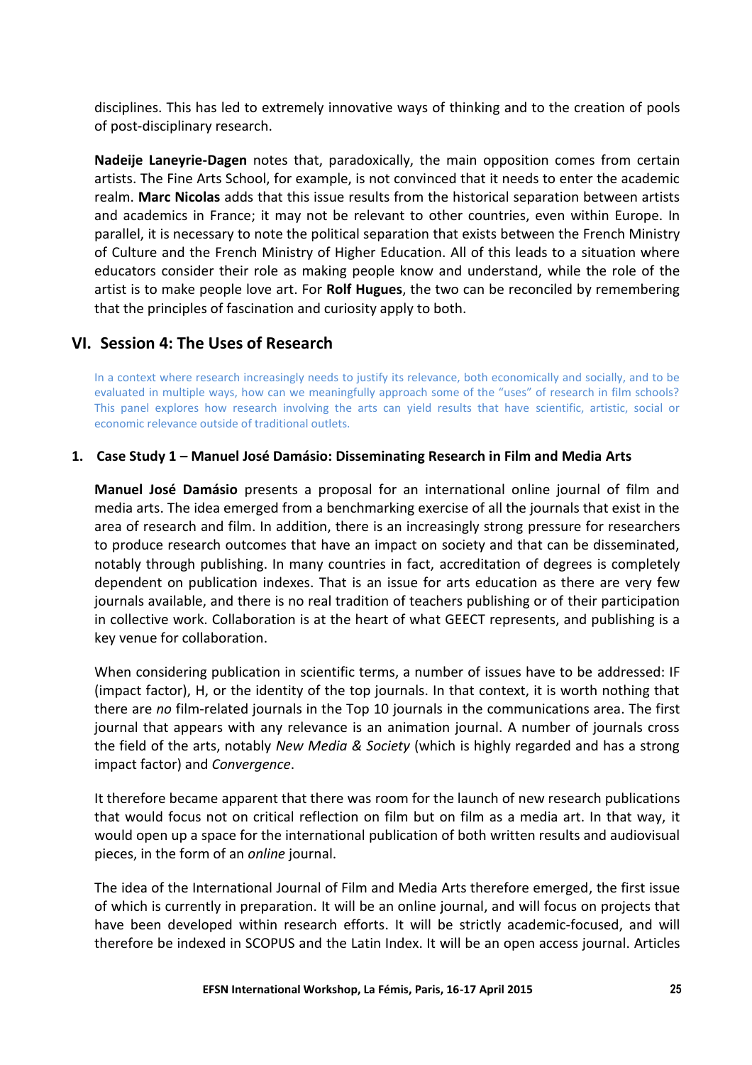disciplines. This has led to extremely innovative ways of thinking and to the creation of pools of post-disciplinary research.

**Nadeije Laneyrie-Dagen** notes that, paradoxically, the main opposition comes from certain artists. The Fine Arts School, for example, is not convinced that it needs to enter the academic realm. **Marc Nicolas** adds that this issue results from the historical separation between artists and academics in France; it may not be relevant to other countries, even within Europe. In parallel, it is necessary to note the political separation that exists between the French Ministry of Culture and the French Ministry of Higher Education. All of this leads to a situation where educators consider their role as making people know and understand, while the role of the artist is to make people love art. For **Rolf Hugues**, the two can be reconciled by remembering that the principles of fascination and curiosity apply to both.

## **VI. Session 4: The Uses of Research**

In a context where research increasingly needs to justify its relevance, both economically and socially, and to be evaluated in multiple ways, how can we meaningfully approach some of the "uses" of research in film schools? This panel explores how research involving the arts can yield results that have scientific, artistic, social or economic relevance outside of traditional outlets.

#### **1. Case Study 1 – Manuel José Damásio: Disseminating Research in Film and Media Arts**

**Manuel José Damásio** presents a proposal for an international online journal of film and media arts. The idea emerged from a benchmarking exercise of all the journals that exist in the area of research and film. In addition, there is an increasingly strong pressure for researchers to produce research outcomes that have an impact on society and that can be disseminated, notably through publishing. In many countries in fact, accreditation of degrees is completely dependent on publication indexes. That is an issue for arts education as there are very few journals available, and there is no real tradition of teachers publishing or of their participation in collective work. Collaboration is at the heart of what GEECT represents, and publishing is a key venue for collaboration.

When considering publication in scientific terms, a number of issues have to be addressed: IF (impact factor), H, or the identity of the top journals. In that context, it is worth nothing that there are *no* film-related journals in the Top 10 journals in the communications area. The first journal that appears with any relevance is an animation journal. A number of journals cross the field of the arts, notably *New Media & Society* (which is highly regarded and has a strong impact factor) and *Convergence*.

It therefore became apparent that there was room for the launch of new research publications that would focus not on critical reflection on film but on film as a media art. In that way, it would open up a space for the international publication of both written results and audiovisual pieces, in the form of an *online* journal.

The idea of the International Journal of Film and Media Arts therefore emerged, the first issue of which is currently in preparation. It will be an online journal, and will focus on projects that have been developed within research efforts. It will be strictly academic-focused, and will therefore be indexed in SCOPUS and the Latin Index. It will be an open access journal. Articles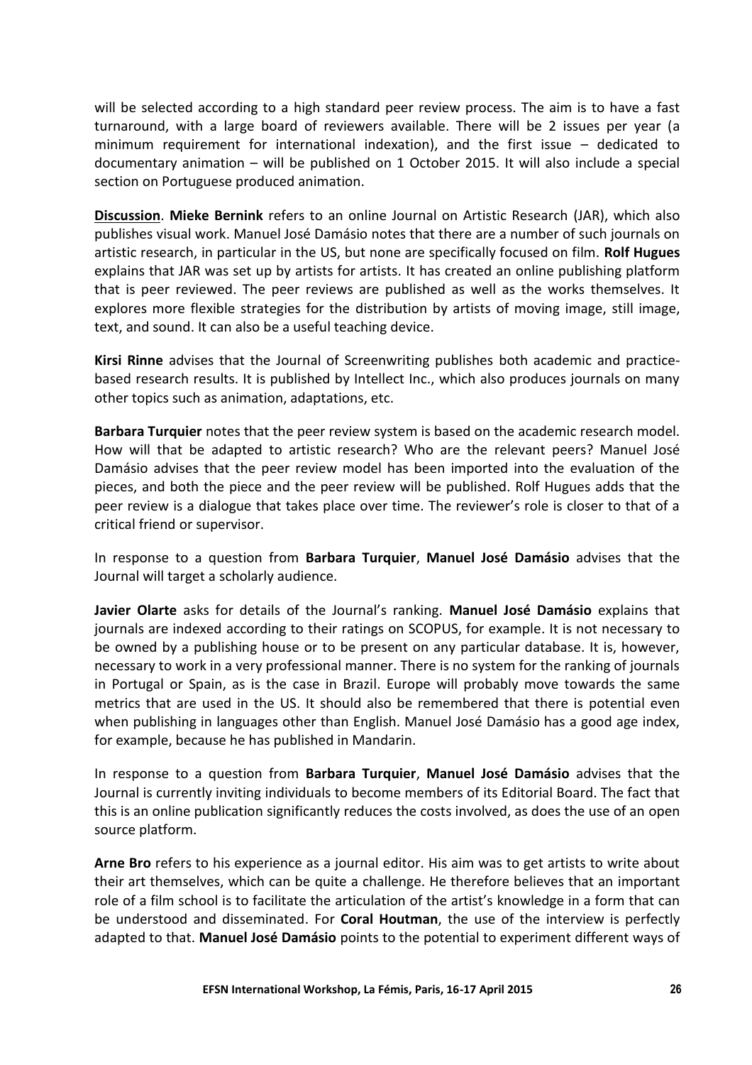will be selected according to a high standard peer review process. The aim is to have a fast turnaround, with a large board of reviewers available. There will be 2 issues per year (a minimum requirement for international indexation), and the first issue – dedicated to documentary animation – will be published on 1 October 2015. It will also include a special section on Portuguese produced animation.

**Discussion**. **Mieke Bernink** refers to an online Journal on Artistic Research (JAR), which also publishes visual work. Manuel José Damásio notes that there are a number of such journals on artistic research, in particular in the US, but none are specifically focused on film. **Rolf Hugues** explains that JAR was set up by artists for artists. It has created an online publishing platform that is peer reviewed. The peer reviews are published as well as the works themselves. It explores more flexible strategies for the distribution by artists of moving image, still image, text, and sound. It can also be a useful teaching device.

**Kirsi Rinne** advises that the Journal of Screenwriting publishes both academic and practicebased research results. It is published by Intellect Inc., which also produces journals on many other topics such as animation, adaptations, etc.

**Barbara Turquier** notes that the peer review system is based on the academic research model. How will that be adapted to artistic research? Who are the relevant peers? Manuel José Damásio advises that the peer review model has been imported into the evaluation of the pieces, and both the piece and the peer review will be published. Rolf Hugues adds that the peer review is a dialogue that takes place over time. The reviewer's role is closer to that of a critical friend or supervisor.

In response to a question from **Barbara Turquier**, **Manuel José Damásio** advises that the Journal will target a scholarly audience.

**Javier Olarte** asks for details of the Journal's ranking. **Manuel José Damásio** explains that journals are indexed according to their ratings on SCOPUS, for example. It is not necessary to be owned by a publishing house or to be present on any particular database. It is, however, necessary to work in a very professional manner. There is no system for the ranking of journals in Portugal or Spain, as is the case in Brazil. Europe will probably move towards the same metrics that are used in the US. It should also be remembered that there is potential even when publishing in languages other than English. Manuel José Damásio has a good age index, for example, because he has published in Mandarin.

In response to a question from **Barbara Turquier**, **Manuel José Damásio** advises that the Journal is currently inviting individuals to become members of its Editorial Board. The fact that this is an online publication significantly reduces the costs involved, as does the use of an open source platform.

**Arne Bro** refers to his experience as a journal editor. His aim was to get artists to write about their art themselves, which can be quite a challenge. He therefore believes that an important role of a film school is to facilitate the articulation of the artist's knowledge in a form that can be understood and disseminated. For **Coral Houtman**, the use of the interview is perfectly adapted to that. **Manuel José Damásio** points to the potential to experiment different ways of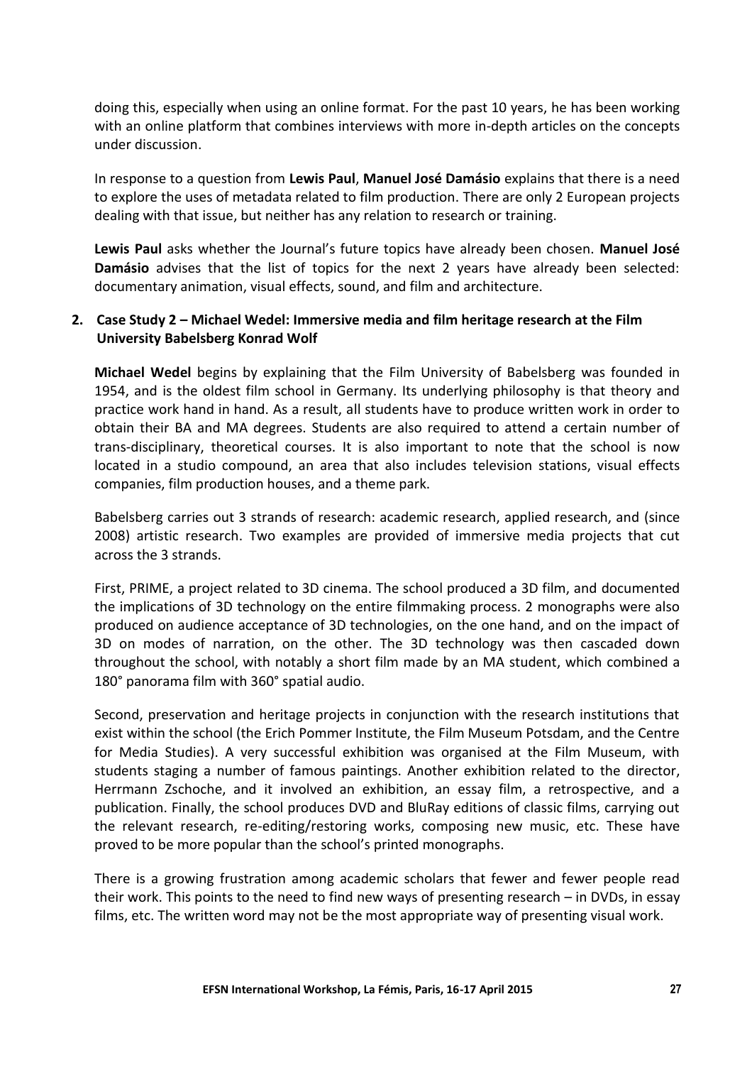doing this, especially when using an online format. For the past 10 years, he has been working with an online platform that combines interviews with more in-depth articles on the concepts under discussion.

In response to a question from **Lewis Paul**, **Manuel José Damásio** explains that there is a need to explore the uses of metadata related to film production. There are only 2 European projects dealing with that issue, but neither has any relation to research or training.

**Lewis Paul** asks whether the Journal's future topics have already been chosen. **Manuel José Damásio** advises that the list of topics for the next 2 years have already been selected: documentary animation, visual effects, sound, and film and architecture.

## **2. Case Study 2 – Michael Wedel: Immersive media and film heritage research at the Film University Babelsberg Konrad Wolf**

**Michael Wedel** begins by explaining that the Film University of Babelsberg was founded in 1954, and is the oldest film school in Germany. Its underlying philosophy is that theory and practice work hand in hand. As a result, all students have to produce written work in order to obtain their BA and MA degrees. Students are also required to attend a certain number of trans-disciplinary, theoretical courses. It is also important to note that the school is now located in a studio compound, an area that also includes television stations, visual effects companies, film production houses, and a theme park.

Babelsberg carries out 3 strands of research: academic research, applied research, and (since 2008) artistic research. Two examples are provided of immersive media projects that cut across the 3 strands.

First, PRIME, a project related to 3D cinema. The school produced a 3D film, and documented the implications of 3D technology on the entire filmmaking process. 2 monographs were also produced on audience acceptance of 3D technologies, on the one hand, and on the impact of 3D on modes of narration, on the other. The 3D technology was then cascaded down throughout the school, with notably a short film made by an MA student, which combined a 180° panorama film with 360° spatial audio.

Second, preservation and heritage projects in conjunction with the research institutions that exist within the school (the Erich Pommer Institute, the Film Museum Potsdam, and the Centre for Media Studies). A very successful exhibition was organised at the Film Museum, with students staging a number of famous paintings. Another exhibition related to the director, Herrmann Zschoche, and it involved an exhibition, an essay film, a retrospective, and a publication. Finally, the school produces DVD and BluRay editions of classic films, carrying out the relevant research, re-editing/restoring works, composing new music, etc. These have proved to be more popular than the school's printed monographs.

There is a growing frustration among academic scholars that fewer and fewer people read their work. This points to the need to find new ways of presenting research – in DVDs, in essay films, etc. The written word may not be the most appropriate way of presenting visual work.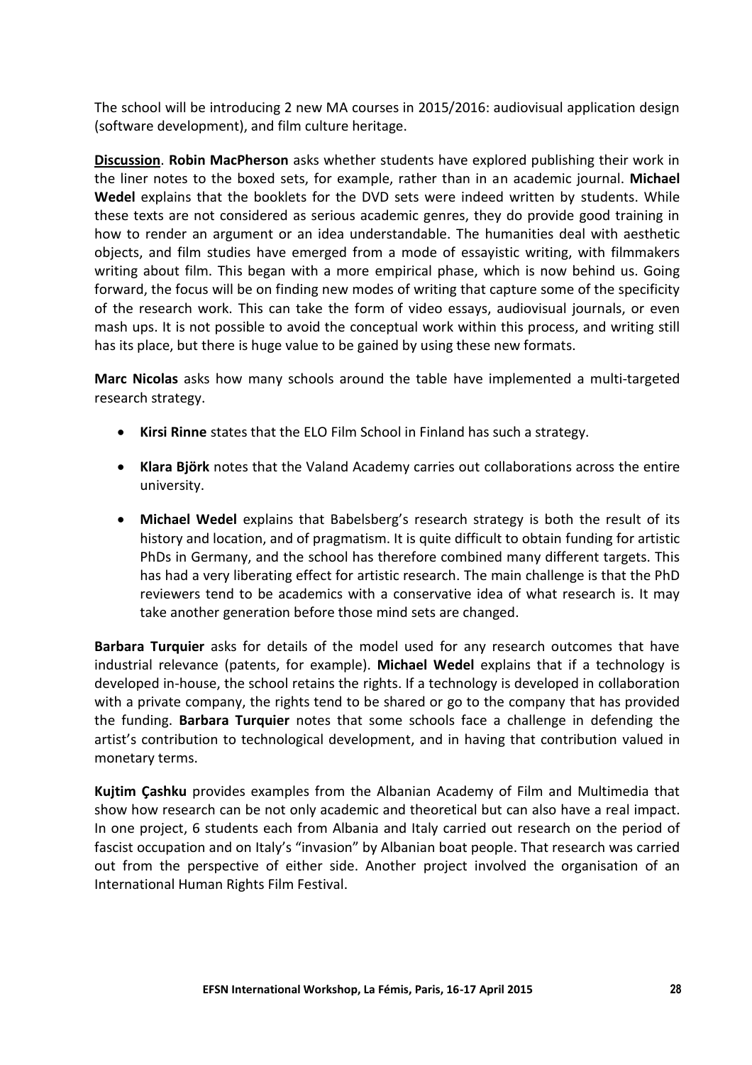The school will be introducing 2 new MA courses in 2015/2016: audiovisual application design (software development), and film culture heritage.

**Discussion**. **Robin MacPherson** asks whether students have explored publishing their work in the liner notes to the boxed sets, for example, rather than in an academic journal. **Michael Wedel** explains that the booklets for the DVD sets were indeed written by students. While these texts are not considered as serious academic genres, they do provide good training in how to render an argument or an idea understandable. The humanities deal with aesthetic objects, and film studies have emerged from a mode of essayistic writing, with filmmakers writing about film. This began with a more empirical phase, which is now behind us. Going forward, the focus will be on finding new modes of writing that capture some of the specificity of the research work. This can take the form of video essays, audiovisual journals, or even mash ups. It is not possible to avoid the conceptual work within this process, and writing still has its place, but there is huge value to be gained by using these new formats.

**Marc Nicolas** asks how many schools around the table have implemented a multi-targeted research strategy.

- **Kirsi Rinne** states that the ELO Film School in Finland has such a strategy.
- **Klara Björk** notes that the Valand Academy carries out collaborations across the entire university.
- **Michael Wedel** explains that Babelsberg's research strategy is both the result of its history and location, and of pragmatism. It is quite difficult to obtain funding for artistic PhDs in Germany, and the school has therefore combined many different targets. This has had a very liberating effect for artistic research. The main challenge is that the PhD reviewers tend to be academics with a conservative idea of what research is. It may take another generation before those mind sets are changed.

**Barbara Turquier** asks for details of the model used for any research outcomes that have industrial relevance (patents, for example). **Michael Wedel** explains that if a technology is developed in-house, the school retains the rights. If a technology is developed in collaboration with a private company, the rights tend to be shared or go to the company that has provided the funding. **Barbara Turquier** notes that some schools face a challenge in defending the artist's contribution to technological development, and in having that contribution valued in monetary terms.

**Kujtim Çashku** provides examples from the Albanian Academy of Film and Multimedia that show how research can be not only academic and theoretical but can also have a real impact. In one project, 6 students each from Albania and Italy carried out research on the period of fascist occupation and on Italy's "invasion" by Albanian boat people. That research was carried out from the perspective of either side. Another project involved the organisation of an International Human Rights Film Festival.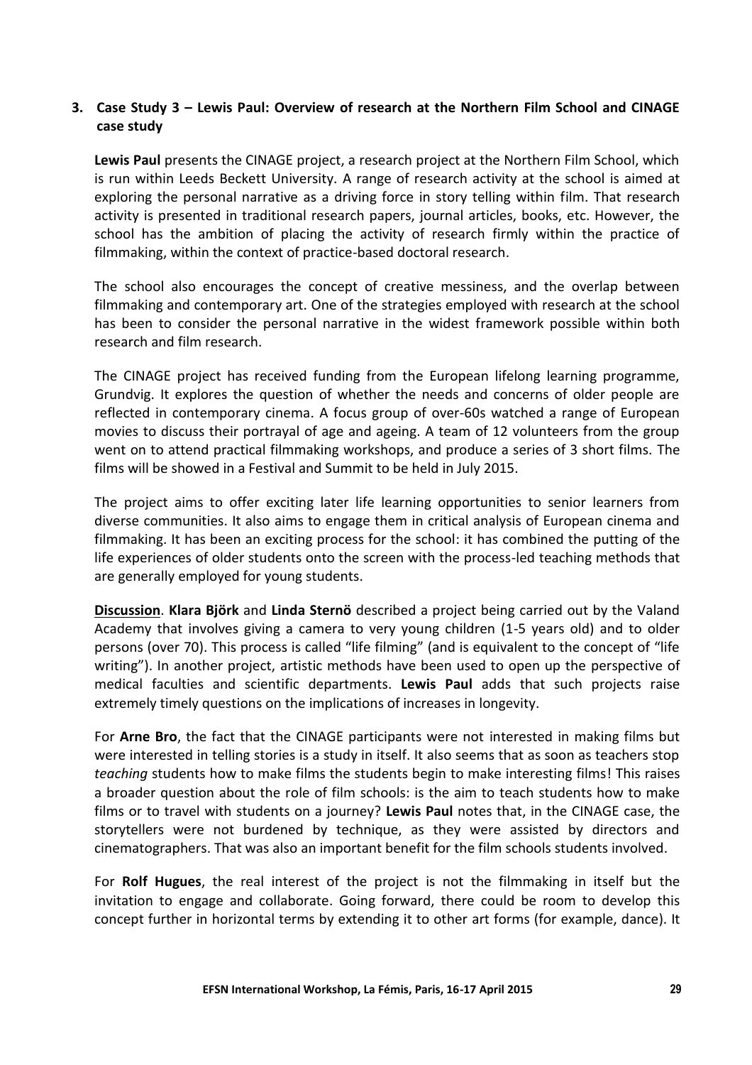## **3. Case Study 3 – Lewis Paul: Overview of research at the Northern Film School and CINAGE case study**

**Lewis Paul** presents the CINAGE project, a research project at the Northern Film School, which is run within Leeds Beckett University. A range of research activity at the school is aimed at exploring the personal narrative as a driving force in story telling within film. That research activity is presented in traditional research papers, journal articles, books, etc. However, the school has the ambition of placing the activity of research firmly within the practice of filmmaking, within the context of practice-based doctoral research.

The school also encourages the concept of creative messiness, and the overlap between filmmaking and contemporary art. One of the strategies employed with research at the school has been to consider the personal narrative in the widest framework possible within both research and film research.

The CINAGE project has received funding from the European lifelong learning programme, Grundvig. It explores the question of whether the needs and concerns of older people are reflected in contemporary cinema. A focus group of over-60s watched a range of European movies to discuss their portrayal of age and ageing. A team of 12 volunteers from the group went on to attend practical filmmaking workshops, and produce a series of 3 short films. The films will be showed in a Festival and Summit to be held in July 2015.

The project aims to offer exciting later life learning opportunities to senior learners from diverse communities. It also aims to engage them in critical analysis of European cinema and filmmaking. It has been an exciting process for the school: it has combined the putting of the life experiences of older students onto the screen with the process-led teaching methods that are generally employed for young students.

**Discussion**. **Klara Björk** and **Linda Sternö** described a project being carried out by the Valand Academy that involves giving a camera to very young children (1-5 years old) and to older persons (over 70). This process is called "life filming" (and is equivalent to the concept of "life writing"). In another project, artistic methods have been used to open up the perspective of medical faculties and scientific departments. **Lewis Paul** adds that such projects raise extremely timely questions on the implications of increases in longevity.

For **Arne Bro**, the fact that the CINAGE participants were not interested in making films but were interested in telling stories is a study in itself. It also seems that as soon as teachers stop *teaching* students how to make films the students begin to make interesting films! This raises a broader question about the role of film schools: is the aim to teach students how to make films or to travel with students on a journey? **Lewis Paul** notes that, in the CINAGE case, the storytellers were not burdened by technique, as they were assisted by directors and cinematographers. That was also an important benefit for the film schools students involved.

For **Rolf Hugues**, the real interest of the project is not the filmmaking in itself but the invitation to engage and collaborate. Going forward, there could be room to develop this concept further in horizontal terms by extending it to other art forms (for example, dance). It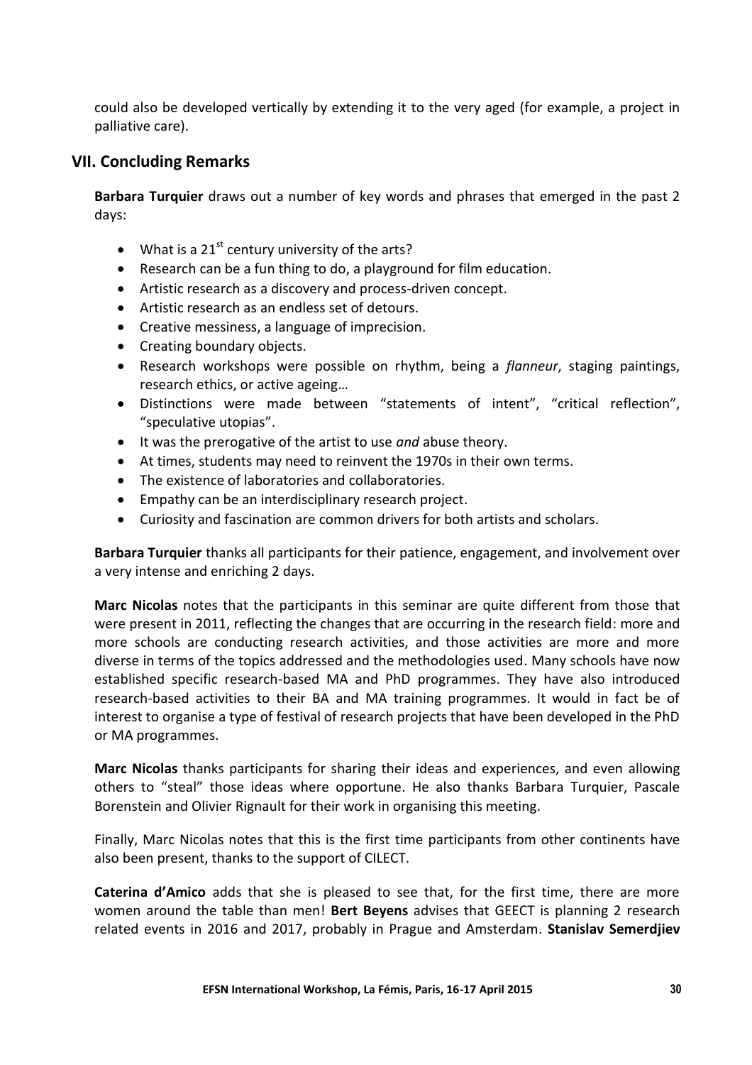could also be developed vertically by extending it to the very aged (for example, a project in palliative care).

## **VII. Concluding Remarks**

**Barbara Turquier** draws out a number of key words and phrases that emerged in the past 2 days:

- What is a  $21^{st}$  century university of the arts?
- Research can be a fun thing to do, a playground for film education.
- Artistic research as a discovery and process-driven concept.
- Artistic research as an endless set of detours.
- Creative messiness, a language of imprecision.
- Creating boundary objects.
- Research workshops were possible on rhythm, being a *flanneur*, staging paintings, research ethics, or active ageing…
- Distinctions were made between "statements of intent", "critical reflection", "speculative utopias".
- It was the prerogative of the artist to use *and* abuse theory.
- At times, students may need to reinvent the 1970s in their own terms.
- The existence of laboratories and collaboratories.
- Empathy can be an interdisciplinary research project.
- Curiosity and fascination are common drivers for both artists and scholars.

**Barbara Turquier** thanks all participants for their patience, engagement, and involvement over a very intense and enriching 2 days.

**Marc Nicolas** notes that the participants in this seminar are quite different from those that were present in 2011, reflecting the changes that are occurring in the research field: more and more schools are conducting research activities, and those activities are more and more diverse in terms of the topics addressed and the methodologies used. Many schools have now established specific research-based MA and PhD programmes. They have also introduced research-based activities to their BA and MA training programmes. It would in fact be of interest to organise a type of festival of research projects that have been developed in the PhD or MA programmes.

**Marc Nicolas** thanks participants for sharing their ideas and experiences, and even allowing others to "steal" those ideas where opportune. He also thanks Barbara Turquier, Pascale Borenstein and Olivier Rignault for their work in organising this meeting.

Finally, Marc Nicolas notes that this is the first time participants from other continents have also been present, thanks to the support of CILECT.

**Caterina d'Amico** adds that she is pleased to see that, for the first time, there are more women around the table than men! **Bert Beyens** advises that GEECT is planning 2 research related events in 2016 and 2017, probably in Prague and Amsterdam. **Stanislav Semerdjiev**